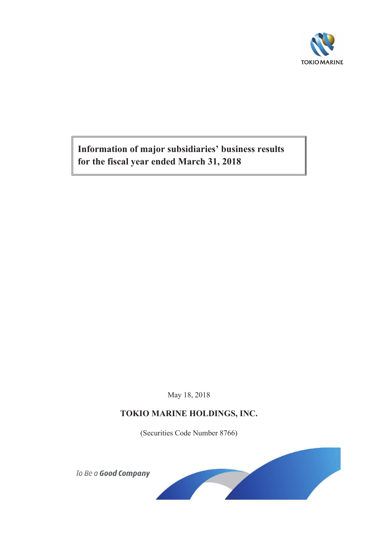

**Information of major subsidiaries' business results for the fiscal year ended March 31, 2018**

May 18, 2018

# **TOKIO MARINE HOLDINGS, INC.**

(Securities Code Number 8766)

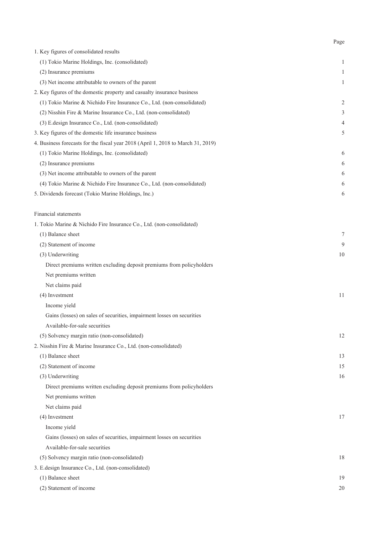| 1. Key figures of consolidated results                                           |    |
|----------------------------------------------------------------------------------|----|
| (1) Tokio Marine Holdings, Inc. (consolidated)                                   | 1  |
| (2) Insurance premiums                                                           | 1  |
| (3) Net income attributable to owners of the parent                              | 1  |
| 2. Key figures of the domestic property and casualty insurance business          |    |
| (1) Tokio Marine & Nichido Fire Insurance Co., Ltd. (non-consolidated)           | 2  |
| (2) Nisshin Fire & Marine Insurance Co., Ltd. (non-consolidated)                 | 3  |
| (3) E.design Insurance Co., Ltd. (non-consolidated)                              | 4  |
| 3. Key figures of the domestic life insurance business                           | 5  |
| 4. Business forecasts for the fiscal year 2018 (April 1, 2018 to March 31, 2019) |    |
| (1) Tokio Marine Holdings, Inc. (consolidated)                                   | 6  |
| (2) Insurance premiums                                                           | 6  |
| (3) Net income attributable to owners of the parent                              | 6  |
| (4) Tokio Marine & Nichido Fire Insurance Co., Ltd. (non-consolidated)           | 6  |
| 5. Dividends forecast (Tokio Marine Holdings, Inc.)                              | 6  |
| Financial statements                                                             |    |
| 1. Tokio Marine & Nichido Fire Insurance Co., Ltd. (non-consolidated)            |    |
| (1) Balance sheet                                                                | 7  |
| (2) Statement of income                                                          | 9  |
| (3) Underwriting                                                                 | 10 |
| Direct premiums written excluding deposit premiums from policyholders            |    |
| Net premiums written                                                             |    |
| Net claims paid                                                                  |    |
| (4) Investment                                                                   | 11 |
| Income yield                                                                     |    |
| Gains (losses) on sales of securities, impairment losses on securities           |    |
| Available-for-sale securities                                                    |    |
| (5) Solvency margin ratio (non-consolidated)                                     | 12 |
| 2. Nisshin Fire & Marine Insurance Co., Ltd. (non-consolidated)                  |    |
| (1) Balance sheet                                                                | 13 |
| (2) Statement of income                                                          | 15 |
| (3) Underwriting                                                                 | 16 |
| Direct premiums written excluding deposit premiums from policyholders            |    |
| Net premiums written                                                             |    |
| Net claims paid                                                                  |    |
| (4) Investment                                                                   | 17 |
| Income yield                                                                     |    |
| Gains (losses) on sales of securities, impairment losses on securities           |    |
| Available-for-sale securities                                                    |    |
| (5) Solvency margin ratio (non-consolidated)                                     | 18 |
| 3. E.design Insurance Co., Ltd. (non-consolidated)                               |    |
| (1) Balance sheet                                                                | 19 |
| (2) Statement of income                                                          | 20 |

Page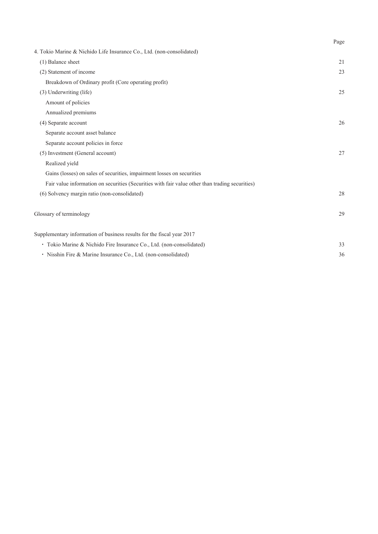|                                                                                                 | Page |
|-------------------------------------------------------------------------------------------------|------|
| 4. Tokio Marine & Nichido Life Insurance Co., Ltd. (non-consolidated)                           |      |
| (1) Balance sheet                                                                               | 21   |
| (2) Statement of income                                                                         | 23   |
| Breakdown of Ordinary profit (Core operating profit)                                            |      |
| (3) Underwriting (life)                                                                         | 25   |
| Amount of policies                                                                              |      |
| Annualized premiums                                                                             |      |
| (4) Separate account                                                                            | 26   |
| Separate account asset balance                                                                  |      |
| Separate account policies in force                                                              |      |
| (5) Investment (General account)                                                                | 27   |
| Realized yield                                                                                  |      |
| Gains (losses) on sales of securities, impairment losses on securities                          |      |
| Fair value information on securities (Securities with fair value other than trading securities) |      |
| (6) Solvency margin ratio (non-consolidated)                                                    | 28   |
| Glossary of terminology                                                                         | 29   |
| Supplementary information of business results for the fiscal year 2017                          |      |
| • Tokio Marine & Nichido Fire Insurance Co., Ltd. (non-consolidated)                            | 33   |
| · Nisshin Fire & Marine Insurance Co., Ltd. (non-consolidated)                                  | 36   |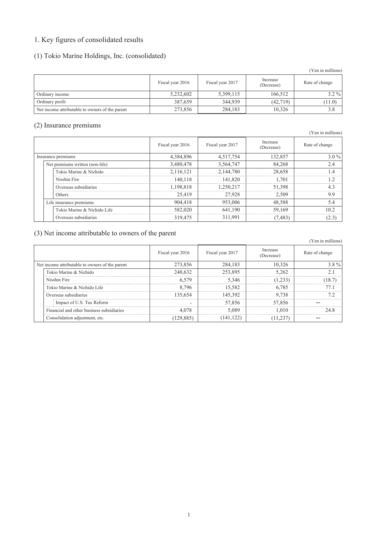# 1. Key figures of consolidated results

# (1) Tokio Marine Holdings, Inc. (consolidated)

|                                                 |                  |                  |                        | (Yen in millions) |
|-------------------------------------------------|------------------|------------------|------------------------|-------------------|
|                                                 | Fiscal year 2016 | Fiscal year 2017 | Increase<br>(Decrease) | Rate of change    |
| Ordinary income                                 | 5,232,602        | 5,399,115        | 166,512                | $3.2\%$           |
| Ordinary profit                                 | 387,659          | 344,939          | (42, 719)              | (11.0)            |
| Net income attributable to owners of the parent | 273,856          | 284,183          | 10,326                 | 3.8               |

### (2) Insurance premiums

|                                 |                  |                  |                        | $\frac{1}{2}$  |
|---------------------------------|------------------|------------------|------------------------|----------------|
|                                 | Fiscal year 2016 | Fiscal year 2017 | Increase<br>(Decrease) | Rate of change |
| Insurance premiums              | 4,384,896        | 4,517,754        | 132,857                | $3.0\%$        |
| Net premiums written (non-life) | 3,480,478        | 3,564,747        | 84,268                 | 2.4            |
| Tokio Marine & Nichido          | 2,116,121        | 2,144,780        | 28,658                 | 4              |
| Nisshin Fire                    | 140.118          | 141.820          | 1.701                  |                |
| Overseas subsidiaries           | 1.198.818        | 1.250.217        | 51.398                 |                |
| Others                          | 25,419           | 27,928           | 2,509                  | 9.9            |
| Life insurance premiums         | 904,418          | 953,006          | 48,588                 | 5.4            |
| Tokio Marine & Nichido Life     | 582.020          | 641,190          | 59.169                 | 10.2           |
| Overseas subsidiaries           | 319,475          | 311,991          | (7, 483)               |                |

### (3) Net income attributable to owners of the parent

|                                                 | Fiscal year 2016 | Fiscal year 2017 | Increase<br>(Decrease) | Rate of change |
|-------------------------------------------------|------------------|------------------|------------------------|----------------|
| Net income attributable to owners of the parent | 273 856          | 284.183          | 10 326                 | 3 8 %          |
| Tokio Marine & Nichido                          | 248.632          | 253.895          | 5 262                  |                |
| Nisshin Fire                                    |                  | 5 346            |                        |                |
| Tokio Marine & Nichido Life                     | 796              | 15.582.          | 6.785                  |                |
| Overseas subsidiaries                           | 135.654          | 145.392          | 9.738                  |                |
| Impact of U.S. Tax Reform                       |                  | 57.856           | 57.856                 |                |
| Financial and other business subsidiaries       |                  | ና በጸዓ            | -010                   |                |
| Consolidation adjustment, etc.                  |                  |                  |                        |                |

# (Yen in millions)

(Yen in millions)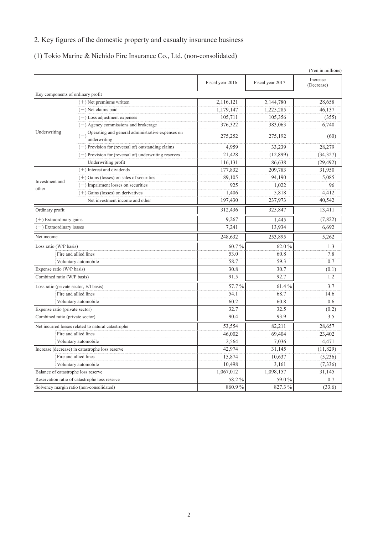# 2. Key figures of the domestic property and casualty insurance business

(1) Tokio Marine & Nichido Fire Insurance Co., Ltd. (non-consolidated)

|                                        |                                                                  |                  |                  | (Yen in millions)      |
|----------------------------------------|------------------------------------------------------------------|------------------|------------------|------------------------|
|                                        |                                                                  | Fiscal year 2016 | Fiscal year 2017 | Increase<br>(Decrease) |
| Key components of ordinary profit      |                                                                  |                  |                  |                        |
|                                        | $(+)$ Net premiums written                                       | 2,116,121        | 2,144,780        | 28,658                 |
|                                        | $(-)$ Net claims paid                                            | 1,179,147        | 1,225,285        | 46,137                 |
|                                        | $(-)$ Loss adjustment expenses                                   | 105,711          | 105,356          | (355)                  |
|                                        | $(-)$ Agency commissions and brokerage                           | 376,322          | 383,063          | 6,740                  |
| Underwriting                           | Operating and general administrative expenses on<br>underwriting | 275,252          | 275,192          | (60)                   |
|                                        | $(-)$ Provision for (reversal of) outstanding claims             | 4,959            | 33,239           | 28,279                 |
|                                        | (-) Provision for (reversal of) underwriting reserves            | 21,428           | (12, 899)        | (34,327)               |
|                                        | Underwriting profit                                              | 116,131          | 86,638           | (29, 492)              |
|                                        | $(+)$ Interest and dividends                                     | 177,832          | 209,783          | 31,950                 |
|                                        | $(+)$ Gains (losses) on sales of securities                      | 89,105           | 94,190           | 5,085                  |
| Investment and                         | $(-)$ Impairment losses on securities                            | 925              | 1,022            | 96                     |
| other                                  | $(+)$ Gains (losses) on derivatives                              | 1,406            | 5,818            | 4,412                  |
|                                        | Net investment income and other                                  | 197,430          | 237,973          | 40,542                 |
| Ordinary profit                        |                                                                  | 312,436          | 325,847          | 13,411                 |
| $(+)$ Extraordinary gains              |                                                                  | 9,267            | 1,445            | (7, 822)               |
| -) Extraordinary losses                |                                                                  | 7,241            | 13,934           | 6,692                  |
| Net income                             | 248,632                                                          |                  | 253,895          | 5,262                  |
| Loss ratio (W/P basis)                 |                                                                  | 60.7%            | 62.0%            | 1.3                    |
|                                        | Fire and allied lines                                            | 53.0             | 60.8             | 7.8                    |
|                                        | Voluntary automobile                                             | 58.7             | 59.3             | 0.7                    |
| Expense ratio (W/P basis)              |                                                                  | 30.8             | 30.7             | (0.1)                  |
| Combined ratio (W/P basis)             |                                                                  | 91.5             | 92.7             | 1.2                    |
| Loss ratio (private sector, E/I basis) |                                                                  | 57.7%            | 61.4%            | 3.7                    |
|                                        | Fire and allied lines                                            | 54.1             | 68.7             | 14.6                   |
|                                        | Voluntary automobile                                             | 60.2             | 60.8             | 0.6                    |
| Expense ratio (private sector)         |                                                                  | 32.7             | 32.5             | (0.2)                  |
| Combined ratio (private sector)        |                                                                  | 90.4             | 93.9             | 3.5                    |
|                                        | Net incurred losses related to natural catastrophe               | 53,554           | 82,211           | 28,657                 |
|                                        | Fire and allied lines                                            | 46,002           | 69,404           | 23,402                 |
| Voluntary automobile                   |                                                                  | 2,564            | 7,036            | 4,471                  |
|                                        | Increase (decrease) in catastrophe loss reserve                  | 42,974           | 31,145           | (11, 829)              |
|                                        | Fire and allied lines                                            | 15,874           | 10,637           | (5,236)                |
|                                        | Voluntary automobile                                             | 10,498           | 3,161            | (7, 336)               |
| Balance of catastrophe loss reserve    |                                                                  | 1,067,012        | 1,098,157        | 31,145                 |
|                                        | Reservation ratio of catastrophe loss reserve                    | 58.2 %           | 59.0 %           | 0.7                    |
|                                        | Solvency margin ratio (non-consolidated)                         | 860.9%           | 827.3 %          | (33.6)                 |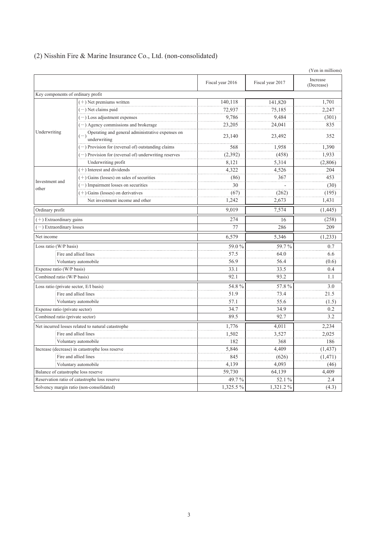|                                        |                                                                  |                  |                  | (Yen in millions)      |
|----------------------------------------|------------------------------------------------------------------|------------------|------------------|------------------------|
|                                        |                                                                  | Fiscal year 2016 | Fiscal year 2017 | Increase<br>(Decrease) |
| Key components of ordinary profit      |                                                                  |                  |                  |                        |
|                                        | $(+)$ Net premiums written                                       | 140,118          | 141,820          | 1,701                  |
|                                        | $(-)$ Net claims paid                                            | 72,937           | 75,185           | 2,247                  |
|                                        | $(-)$ Loss adjustment expenses                                   | 9,786            | 9.484            | (301)                  |
|                                        | $(-)$ Agency commissions and brokerage                           | 23,205           | 24,041           | 835                    |
| Underwriting                           | Operating and general administrative expenses on<br>underwriting | 23,140           | 23,492           | 352                    |
|                                        | (-) Provision for (reversal of) outstanding claims               | 568              | 1,958            | 1,390                  |
|                                        | $(-)$ Provision for (reversal of) underwriting reserves          | (2,392)          | (458)            | 1,933                  |
|                                        | Underwriting profit                                              | 8,121            | 5,314            | (2,806)                |
|                                        | $(+)$ Interest and dividends                                     | 4,322            | 4,526            | 204                    |
|                                        | $(+)$ Gains (losses) on sales of securities                      | (86)             | 367              | 453                    |
| Investment and<br>other                | $(-)$ Impairment losses on securities                            | 30               |                  | (30)                   |
|                                        | $(+)$ Gains (losses) on derivatives                              | (67)             | (262)            | (195)                  |
|                                        | Net investment income and other                                  | 1,242            | 2,673            | 1,431                  |
| Ordinary profit                        |                                                                  | 9.019            | 7,574            | (1, 445)               |
|                                        | $(+)$ Extraordinary gains                                        |                  | 16               | (258)                  |
| -) Extraordinary losses                |                                                                  | 77               | 286              | 209                    |
| Net income                             |                                                                  |                  | 5,346            | (1,233)                |
| Loss ratio (W/P basis)                 |                                                                  | 59.0%            | 59.7%            | 0.7                    |
|                                        | Fire and allied lines                                            | 57.5             | 64.0             | 6.6                    |
|                                        | Voluntary automobile                                             | 56.9             | 56.4             | (0.6)                  |
| Expense ratio (W/P basis)              |                                                                  | 33.1             | 33.5             | 0.4                    |
| Combined ratio (W/P basis)             |                                                                  | 92.1             | 93.2             | 1.1                    |
| Loss ratio (private sector, E/I basis) |                                                                  | 54.8%            | 57.8%            | 3.0                    |
|                                        | Fire and allied lines                                            | 51.9             | 73.4             | 21.5                   |
|                                        | Voluntary automobile                                             | 57.1             | 55.6             | (1.5)                  |
| Expense ratio (private sector)         |                                                                  | 34.7             | 34.9             | 0.2                    |
| Combined ratio (private sector)        |                                                                  | 89.5             | 92.7             | 3.2                    |
|                                        | Net incurred losses related to natural catastrophe               | 1,776            | 4,011            | 2,234                  |
|                                        | Fire and allied lines                                            | 1,502            | 3,527            | 2,025                  |
|                                        | Voluntary automobile                                             | 182              | 368              | 186                    |
|                                        | Increase (decrease) in catastrophe loss reserve                  | 5,846            | 4,409            | (1, 437)               |
|                                        | Fire and allied lines                                            | 845              | (626)            | (1, 471)               |
|                                        | Voluntary automobile                                             | 4,139            | 4,093            | (46)                   |
| Balance of catastrophe loss reserve    |                                                                  | 59,730           | 64,139           | 4,409                  |
|                                        | Reservation ratio of catastrophe loss reserve                    | 49.7%            | 52.1 %           | 2.4                    |
|                                        | Solvency margin ratio (non-consolidated)                         | 1,325.5%         | 1,321.2%         | (4.3)                  |

# (2) Nisshin Fire & Marine Insurance Co., Ltd. (non-consolidated)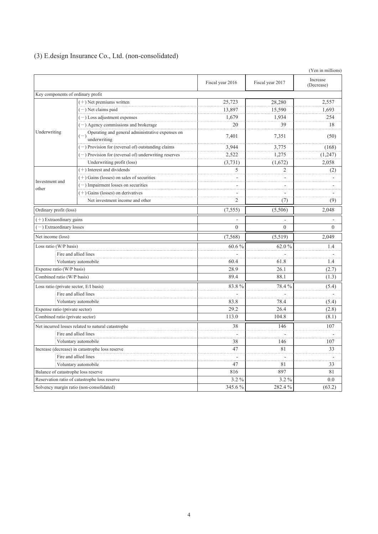|  |  |  | (3) E.design Insurance Co., Ltd. (non-consolidated) |  |
|--|--|--|-----------------------------------------------------|--|
|--|--|--|-----------------------------------------------------|--|

|                                        |                                                                        |                  |                  | (Yen in millions)      |
|----------------------------------------|------------------------------------------------------------------------|------------------|------------------|------------------------|
|                                        |                                                                        | Fiscal year 2016 | Fiscal year 2017 | Increase<br>(Decrease) |
| Key components of ordinary profit      |                                                                        |                  |                  |                        |
|                                        | $(+)$ Net premiums written                                             | 25,723           | 28,280           | 2,557                  |
|                                        | $(-)$ Net claims paid                                                  | 13,897           | 15,590           | 1,693                  |
|                                        | $(-)$ Loss adjustment expenses                                         | 1,679            | 1,934            | 254                    |
|                                        | $(-)$ Agency commissions and brokerage                                 | 20               | 39               | 18                     |
| Underwriting                           | $(-)$ Operating and general administrative expenses on<br>underwriting | 7,401            | 7,351            | (50)                   |
|                                        | (-) Provision for (reversal of) outstanding claims                     | 3,944            | 3,775            | (168)                  |
|                                        | $(-)$ Provision for (reversal of) underwriting reserves                | 2,522            | 1,275            | (1,247)                |
|                                        | Underwriting profit (loss)                                             | (3,731)          | (1,672)          | 2,058                  |
|                                        | $(+)$ Interest and dividends                                           | 5                | $\overline{c}$   | (2)                    |
|                                        | $(+)$ Gains (losses) on sales of securities                            |                  |                  |                        |
| Investment and<br>other                | $(-)$ Impairment losses on securities                                  |                  |                  |                        |
|                                        | $(+)$ Gains (losses) on derivatives                                    |                  |                  |                        |
|                                        | Net investment income and other                                        | $\mathfrak{2}$   | (7)              | (9)                    |
| Ordinary profit (loss)                 |                                                                        | (7, 555)         | (5,506)          | 2.048                  |
| $(+)$ Extraordinary gains              |                                                                        |                  |                  |                        |
| -) Extraordinary losses                |                                                                        | $\overline{0}$   | $\overline{0}$   | $\theta$               |
| Net income (loss)                      |                                                                        | (7,568)          | (5,519)          | 2,049                  |
| Loss ratio (W/P basis)                 |                                                                        | 60.6%            | 62.0 %           | 1.4                    |
|                                        | Fire and allied lines                                                  |                  |                  |                        |
|                                        | Voluntary automobile                                                   | 60.4             | 61.8             | 1.4                    |
| Expense ratio (W/P basis)              |                                                                        | 28.9             | 26.1             | (2.7)                  |
| Combined ratio (W/P basis)             |                                                                        | 89.4             | 88.1             | (1.3)                  |
| Loss ratio (private sector, E/I basis) |                                                                        | 83.8%            | 78.4%            | (5.4)                  |
|                                        | Fire and allied lines                                                  |                  |                  |                        |
|                                        | Voluntary automobile                                                   | 83.8             | 78.4             | (5.4)                  |
| Expense ratio (private sector)         |                                                                        | 29.2             | 26.4             | (2.8)                  |
| Combined ratio (private sector)        |                                                                        | 113.0            | 104.8            | (8.1)                  |
|                                        | Net incurred losses related to natural catastrophe                     | 38               | 146              | 107                    |
|                                        | Fire and allied lines                                                  | ÷,               |                  |                        |
| Voluntary automobile                   |                                                                        | 38               | 146              | 107                    |
|                                        | Increase (decrease) in catastrophe loss reserve                        | 47               | 81               | 33                     |
|                                        | Fire and allied lines                                                  |                  |                  |                        |
|                                        | Voluntary automobile                                                   | 47               | 81               | 33                     |
| Balance of catastrophe loss reserve    |                                                                        | 816              | 897              | 81                     |
|                                        | Reservation ratio of catastrophe loss reserve                          | $3.2\%$          | $3.2\%$          | 0.0                    |
|                                        | Solvency margin ratio (non-consolidated)                               | 345.6%           | 282.4%           | (63.2)                 |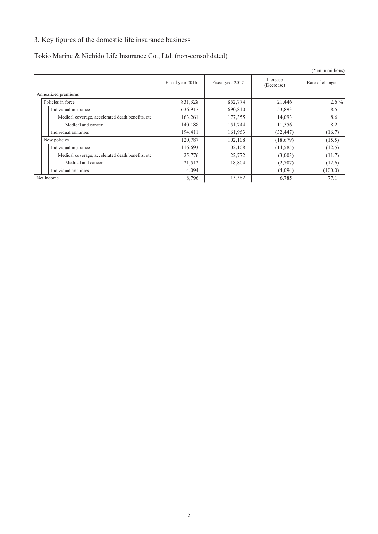# 3. Key figures of the domestic life insurance business

# Tokio Marine & Nichido Life Insurance Co., Ltd. (non-consolidated)

|                                                    |                  |                  |                        | (Yen in millions) |
|----------------------------------------------------|------------------|------------------|------------------------|-------------------|
|                                                    | Fiscal year 2016 | Fiscal year 2017 | Increase<br>(Decrease) | Rate of change    |
| Annualized premiums                                |                  |                  |                        |                   |
| Policies in force                                  | 831,328          | 852,774          | 21,446                 | $2.6\%$           |
| Individual insurance                               | 636,917          | 690,810          | 53,893                 | 8.5               |
| Medical coverage, accelerated death benefits, etc. | 163,261          | 177,355          | 14,093                 | 8.6               |
| Medical and cancer                                 | 140,188          | 151,744          | 11,556                 | 8.2               |
| Individual annuities                               | 194,411          | 161,963          | (32, 447)              | (16.7)            |
| New policies                                       | 120,787          | 102,108          | (18,679)               | (15.5)            |
| Individual insurance                               | 116,693          | 102,108          | (14, 585)              | (12.5)            |
| Medical coverage, accelerated death benefits, etc. | 25,776           | 22,772           | (3,003)                | (11.7)            |
| Medical and cancer                                 | 21,512           | 18,804           | (2,707)                | (12.6)            |
| Individual annuities                               | 4,094            | ٠                | (4,094)                | (100.0)           |
| Net income                                         | 8,796            | 15,582           | 6,785                  | 77.1              |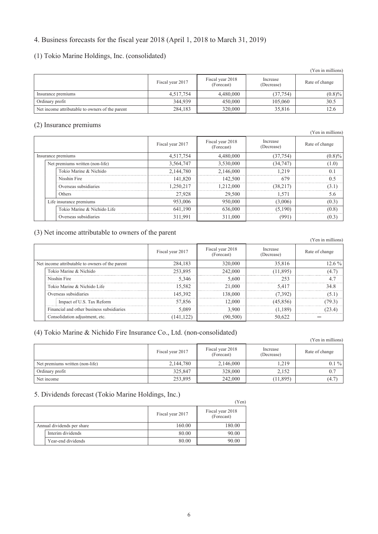## 4. Business forecasts for the fiscal year 2018 (April 1, 2018 to March 31, 2019)

### (1) Tokio Marine Holdings, Inc. (consolidated)

|                                                 |                  |                                |                        | (Yen in millions) |
|-------------------------------------------------|------------------|--------------------------------|------------------------|-------------------|
|                                                 | Fiscal year 2017 | Fiscal year 2018<br>(Forecast) | Increase<br>(Decrease) | Rate of change    |
| Insurance premiums                              | 4,517,754        | 4,480,000                      | (37, 754)              | (0.8)%            |
| Ordinary profit                                 | 344.939          | 450,000                        | 105,060                | 30.5              |
| Net income attributable to owners of the parent | 284,183          | 320,000                        | 35,816                 | 12.6              |

### (2) Insurance premiums

|                    |                                 |                  |                                |                        | (Yen in millions) |
|--------------------|---------------------------------|------------------|--------------------------------|------------------------|-------------------|
|                    |                                 | Fiscal year 2017 | Fiscal year 2018<br>(Forecast) | Increase<br>(Decrease) | Rate of change    |
| Insurance premiums |                                 | 4,517,754        | 4,480,000                      | (37, 754)              | $(0.8)\%$         |
|                    | Net premiums written (non-life) | 3,564,747        | 3,530,000                      | (34, 747)              | (1.0)             |
|                    | Tokio Marine & Nichido          | 2.144.780        | 2.146.000                      | 1219                   |                   |
|                    | Nisshin Fire                    | 141.820          | 142,500                        | 679                    | 0 <sup>5</sup>    |
|                    | Overseas subsidiaries           | 1.250.217        | 1.212.000                      | (38,217)               | 3.I               |
|                    | <b>Others</b>                   | 27,928           | 29,500                         | 1.571                  | 5.6               |
|                    | Life insurance premiums         | 953,006          | 950,000                        | (3,006)                | (0.3)             |
|                    | Tokio Marine & Nichido Life     | 641.190          | 636,000                        | (5.190)                | (0.8)             |
|                    | Overseas subsidiaries           | 311,991          | 311,000                        | (991                   | (0.3)             |

### (3) Net income attributable to owners of the parent

|                                                 |                  |                                |                        | (Yen in millions) |
|-------------------------------------------------|------------------|--------------------------------|------------------------|-------------------|
|                                                 | Fiscal year 2017 | Fiscal year 2018<br>(Forecast) | Increase<br>(Decrease) | Rate of change    |
| Net income attributable to owners of the parent | 284.183          | 320 000                        | 35.816                 | $12.6\%$          |
| Tokio Marine & Nichido                          | 253.895          | 242.000                        | 1 895                  | 47                |
| Nisshin Fire                                    | 5.346            | 5.600                          | 253                    |                   |
| Tokio Marine & Nichido Life                     | 15.582           | 21.000                         | 5417                   | 34 S              |
| Overseas subsidiaries                           | 145 392          | 38.000                         |                        |                   |
| Impact of U.S. Tax Reform                       | 57.856           | 2.000                          | 45.856                 |                   |
| Financial and other business subsidiaries       | 5.089            | 3.900                          | -1891                  |                   |
| Consolidation adjustment, etc.                  |                  |                                |                        |                   |

### (4) Tokio Marine & Nichido Fire Insurance Co., Ltd. (non-consolidated)

|                                 |                  |                                |                        | (Yen in millions) |
|---------------------------------|------------------|--------------------------------|------------------------|-------------------|
|                                 | Fiscal year 2017 | Fiscal year 2018<br>(Forecast) | Increase<br>(Decrease) | Rate of change    |
| Net premiums written (non-life) | 2,144,780        | 2,146,000                      | 1.219                  | $0.1\%$           |
| Ordinary profit                 | 325,847          | 328,000                        | 2.152                  |                   |
| Net income                      | 253,895          | 242,000                        | (11, 895)              | (4.7)             |

### 5. Dividends forecast (Tokio Marine Holdings, Inc.)

|                            |                  | Yen)                           |
|----------------------------|------------------|--------------------------------|
|                            | Fiscal year 2017 | Fiscal year 2018<br>(Forecast) |
| Annual dividends per share | 160.00           | 180.00                         |
| Interim dividends          | 80.00            | 90.00                          |
| Year-end dividends         | 80.00            | 90.00                          |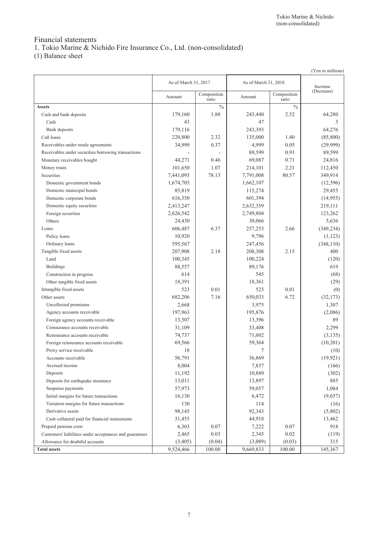# Financial statements

1. Tokio Marine & Nichido Fire Insurance Co., Ltd. (non-consolidated)

(1) Balance sheet

|                                                         |                      |                      |                      |                      | (Yen in millions) |
|---------------------------------------------------------|----------------------|----------------------|----------------------|----------------------|-------------------|
|                                                         | As of March 31, 2017 |                      | As of March 31, 2018 |                      | Increase          |
|                                                         | Amount               | Composition<br>ratio | Amount               | Composition<br>ratio | (Decrease)        |
| <b>Assets</b>                                           |                      | $\frac{0}{0}$        |                      | $\frac{0}{0}$        |                   |
| Cash and bank deposits                                  | 179,160              | 1.88                 | 243,440              | 2.52                 | 64,280            |
| Cash                                                    | 43                   |                      | 47                   |                      | 3                 |
| Bank deposits                                           | 179,116              |                      | 243,393              |                      | 64,276            |
| Call loans                                              | 220,800              | 2.32                 | 135,000              | 1.40                 | (85, 800)         |
| Receivables under resale agreements                     | 34,999               | 0.37                 | 4,999                | 0.05                 | (29,999)          |
| Receivables under securities borrowing transactions     |                      |                      | 89,599               | 0.93                 | 89,599            |
| Monetary receivables bought                             | 44,271               | 0.46                 | 69,087               | 0.71                 | 24,816            |
| Money trusts                                            | 101,650              | 1.07                 | 214,101              | 2.21                 | 112,450           |
| Securities                                              | 7,441,093            | 78.13                | 7,791,008            | 80.57                | 349,914           |
| Domestic government bonds                               | 1,674,703            |                      | 1,662,107            |                      | (12, 596)         |
| Domestic municipal bonds                                | 85,819               |                      | 115,274              |                      | 29,455            |
| Domestic corporate bonds                                | 616,350              |                      | 601,394              |                      | (14, 955)         |
| Domestic equity securities                              | 2,413,247            |                      | 2,632,359            |                      | 219,111           |
| Foreign securities                                      | 2,626,542            |                      | 2,749,804            |                      | 123,262           |
| Others                                                  | 24,430               |                      | 30,066               |                      | 5,636             |
| Loans                                                   | 606,487              | 6.37                 | 257,253              | 2.66                 | (349, 234)        |
| Policy loans                                            | 10,920               |                      | 9,796                |                      | (1, 123)          |
| Ordinary loans                                          | 595,567              |                      | 247,456              |                      | (348, 110)        |
| Tangible fixed assets                                   | 207,908              | 2.18                 | 208,308              | 2.15                 | 400               |
| Land                                                    | 100,345              |                      | 100,224              |                      | (120)             |
| <b>Buildings</b>                                        | 88,557               |                      | 89,176               |                      | 619               |
| Construction in progress                                | 614                  |                      | 545                  |                      | (68)              |
| Other tangible fixed assets                             | 18,391               |                      | 18,361               |                      | (29)              |
| Intangible fixed assets                                 | 523                  | 0.01                 | 523                  | 0.01                 | (0)               |
| Other assets                                            | 682,206              | 7.16                 | 650,033              | 6.72                 | (32, 173)         |
| Uncollected premiums                                    | 2,668                |                      | 3,975                |                      | 1,307             |
| Agency accounts receivable                              | 197,963              |                      | 195,876              |                      | (2,086)           |
| Foreign agency accounts receivable                      | 13,307               |                      | 13,396               |                      | 89                |
| Coinsurance accounts receivable                         | 31,109               |                      | 33,408               |                      | 2,299             |
| Reinsurance accounts receivable                         | 74,737               |                      | 71,602               |                      | (3, 135)          |
| Foreign reinsurance accounts receivable                 | 69,566               |                      | 59,364               |                      | (10,201)          |
| Proxy service receivable                                | 18                   |                      | 7                    |                      | (10)              |
| Accounts receivable                                     | 56,791               |                      | 36,869               |                      | (19, 921)         |
| Accrued income                                          | 8,004                |                      | 7,837                |                      | (166)             |
| Deposits                                                | 11,192               |                      | 10,889               |                      | (302)             |
| Deposits for earthquake insurance                       | 13,011               |                      | 13,897               |                      | 885               |
| Suspense payments                                       | 57,973               |                      | 59,057               |                      | 1,084             |
| Initial margins for future transactions                 | 16,130               |                      | 6,472                |                      | (9,657)           |
| Variation margins for future transactions               | 130                  |                      | 114                  |                      | (16)              |
| Derivative assets                                       | 98,145               |                      | 92,343               |                      | (5,802)           |
| Cash collateral paid for financial instruments          | 31,455               |                      | 44,918               |                      | 13,462            |
| Prepaid pension costs                                   | 6,303                | 0.07                 | 7,222                | 0.07                 | 918               |
| Customers' liabilities under acceptances and guarantees | 2,465                | 0.03                 | 2,345                | 0.02                 | (119)             |
| Allowance for doubtful accounts                         | (3, 405)             | (0.04)               | (3,089)              | (0.03)               | 315               |
| <b>Total assets</b>                                     | 9,524,466            | 100.00               | 9,669,833            | 100.00               | 145,367           |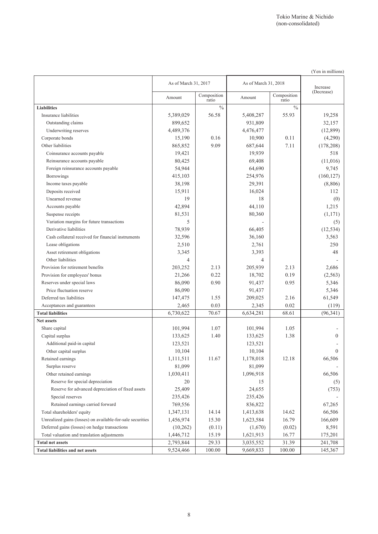|                                                            |                      |                      |                      |                      | (Yen in millions) |
|------------------------------------------------------------|----------------------|----------------------|----------------------|----------------------|-------------------|
|                                                            | As of March 31, 2017 |                      | As of March 31, 2018 |                      | Increase          |
|                                                            | Amount               | Composition<br>ratio | Amount               | Composition<br>ratio | (Decrease)        |
| <b>Liabilities</b>                                         |                      | $\frac{0}{0}$        |                      | $\frac{0}{0}$        |                   |
| Insurance liabilities                                      | 5,389,029            | 56.58                | 5,408,287            | 55.93                | 19,258            |
| Outstanding claims                                         | 899,652              |                      | 931,809              |                      | 32,157            |
| Underwriting reserves                                      | 4,489,376            |                      | 4,476,477            |                      | (12,899)          |
| Corporate bonds                                            | 15,190               | 0.16                 | 10,900               | 0.11                 | (4,290)           |
| Other liabilities                                          | 865,852              | 9.09                 | 687,644              | 7.11                 | (178, 208)        |
| Coinsurance accounts payable                               | 19,421               |                      | 19,939               |                      | 518               |
| Reinsurance accounts payable                               | 80,425               |                      | 69,408               |                      | (11,016)          |
| Foreign reinsurance accounts payable                       | 54,944               |                      | 64,690               |                      | 9,745             |
| <b>Borrowings</b>                                          | 415,103              |                      | 254,976              |                      | (160, 127)        |
| Income taxes payable                                       | 38,198               |                      | 29,391               |                      | (8,806)           |
| Deposits received                                          | 15,911               |                      | 16,024               |                      | 112               |
| Unearned revenue                                           | 19                   |                      | 18                   |                      | (0)               |
| Accounts payable                                           | 42,894               |                      | 44,110               |                      | 1,215             |
| Suspense receipts                                          | 81,531               |                      | 80,360               |                      | (1,171)           |
| Variation margins for future transactions                  | 5                    |                      |                      |                      | (5)               |
| Derivative liabilities                                     | 78,939               |                      | 66,405               |                      | (12, 534)         |
| Cash collateral received for financial instruments         | 32,596               |                      | 36,160               |                      | 3,563             |
| Lease obligations                                          | 2,510                |                      | 2,761                |                      | 250               |
| Asset retirement obligations                               | 3,345                |                      | 3,393                |                      | 48                |
| Other liabilities                                          | 4                    |                      | 4                    |                      |                   |
| Provision for retirement benefits                          | 203,252              | 2.13                 | 205,939              | 2.13                 | 2,686             |
| Provision for employees' bonus                             | 21,266               | 0.22                 | 18,702               | 0.19                 | (2, 563)          |
| Reserves under special laws                                | 86,090               | 0.90                 | 91,437               | 0.95                 | 5,346             |
| Price fluctuation reserve                                  | 86,090               |                      | 91,437               |                      | 5,346             |
| Deferred tax liabilities                                   | 147,475              | 1.55                 | 209,025              | 2.16                 | 61,549            |
| Acceptances and guarantees                                 | 2,465                | 0.03                 | 2,345                | 0.02                 | (119)             |
| <b>Total liabilities</b>                                   | 6,730,622            | 70.67                | 6,634,281            | 68.61                | (96, 341)         |
| Net assets                                                 |                      |                      |                      |                      |                   |
| Share capital                                              | 101,994              | 1.07                 | 101,994              | 1.05                 |                   |
| Capital surplus                                            | 133,625              | 1.40                 | 133,625              | 1.38                 | $\Omega$          |
| Additional paid-in capital                                 | 123,521              |                      | 123,521              |                      |                   |
| Other capital surplus                                      | 10,104               |                      | 10,104               |                      | $\Omega$          |
| Retained earnings                                          | 1,111,511            | 11.67                | 1,178,018            | 12.18                | 66,506            |
| Surplus reserve                                            | 81,099               |                      | 81,099               |                      |                   |
| Other retained earnings                                    | 1,030,411            |                      | 1,096,918            |                      | 66,506            |
| Reserve for special depreciation                           | 20                   |                      | 15                   |                      | (5)               |
| Reserve for advanced depreciation of fixed assets          | 25,409               |                      | 24,655               |                      | (753)             |
| Special reserves                                           | 235,426              |                      | 235,426              |                      |                   |
| Retained earnings carried forward                          | 769,556              |                      | 836,822              |                      | 67,265            |
| Total shareholders' equity                                 | 1,347,131            | 14.14                | 1,413,638            | 14.62                | 66,506            |
| Unrealized gains (losses) on available-for-sale securities | 1,456,974            | 15.30                | 1,623,584            | 16.79                | 166,609           |
| Deferred gains (losses) on hedge transactions              | (10,262)             | (0.11)               | (1,670)              | (0.02)               | 8,591             |
| Total valuation and translation adjustments                | 1,446,712            | 15.19                | 1,621,913            | 16.77                | 175,201           |
| <b>Total net assets</b>                                    | 2,793,844            | 29.33                | 3,035,552            | 31.39                | 241,708           |
| <b>Total liabilities and net assets</b>                    | 9,524,466            | 100.00               | 9,669,833            | 100.00               | 145,367           |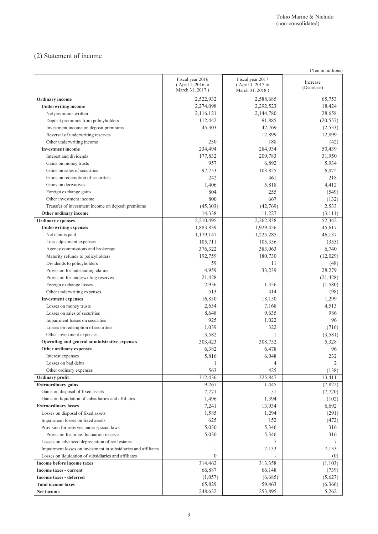## (2) Statement of income

| (Yen in millions)                                              |                                                          |                                                          |                        |  |  |  |
|----------------------------------------------------------------|----------------------------------------------------------|----------------------------------------------------------|------------------------|--|--|--|
|                                                                | Fiscal year 2016<br>(April 1, 2016 to<br>March 31, 2017) | Fiscal year 2017<br>(April 1, 2017 to<br>March 31, 2018) | Increase<br>(Decrease) |  |  |  |
| Ordinary income                                                | 2,522,932                                                | 2,588,685                                                | 65,753                 |  |  |  |
| <b>Underwriting income</b>                                     | 2,274,098                                                | 2,292,523                                                | 18,424                 |  |  |  |
| Net premiums written                                           | 2,116,121                                                | 2,144,780                                                | 28,658                 |  |  |  |
| Deposit premiums from policyholders                            | 112,442                                                  | 91,885                                                   | (20, 557)              |  |  |  |
| Investment income on deposit premiums                          | 45,303                                                   | 42,769                                                   | (2, 533)               |  |  |  |
| Reversal of underwriting reserves                              |                                                          | 12,899                                                   | 12,899                 |  |  |  |
| Other underwriting income                                      | 230                                                      | 188                                                      | (42)                   |  |  |  |
| <b>Investment income</b>                                       | 234,494                                                  | 284,934                                                  | 50,439                 |  |  |  |
| Interest and dividends                                         | 177,832                                                  | 209,783                                                  | 31,950                 |  |  |  |
| Gains on money trusts                                          | 957                                                      | 6,892                                                    | 5,934                  |  |  |  |
| Gains on sales of securities                                   | 97,753                                                   | 103,825                                                  | 6,072                  |  |  |  |
| Gains on redemption of securities                              | 242                                                      | 461                                                      | 218                    |  |  |  |
| Gains on derivatives                                           | 1,406                                                    | 5,818                                                    | 4,412                  |  |  |  |
| Foreign exchange gains                                         | 804                                                      | 255                                                      | (549)                  |  |  |  |
| Other investment income                                        | 800                                                      | 667                                                      | (132)                  |  |  |  |
| Transfer of investment income on deposit premiums              | (45,303)                                                 | (42,769)                                                 | 2,533                  |  |  |  |
| Other ordinary income                                          | 14,338                                                   | 11,227                                                   | (3, 111)               |  |  |  |
| <b>Ordinary</b> expenses                                       | 2,210,495                                                | 2,262,838                                                | 52,342                 |  |  |  |
| <b>Underwriting expenses</b>                                   | 1,883,839                                                | 1,929,456                                                | 45,617                 |  |  |  |
| Net claims paid                                                | 1,179,147                                                | 1,225,285                                                | 46,137                 |  |  |  |
| Loss adjustment expenses                                       | 105,711                                                  | 105,356                                                  | (355)                  |  |  |  |
| Agency commissions and brokerage                               | 376,322                                                  | 383,063                                                  | 6,740                  |  |  |  |
| Maturity refunds to policyholders                              | 192,759                                                  | 180,730                                                  | (12,029)               |  |  |  |
| Dividends to policyholders                                     | 59                                                       | 11                                                       | (48)                   |  |  |  |
| Provision for outstanding claims                               | 4,959                                                    | 33,239                                                   | 28,279                 |  |  |  |
| Provision for underwriting reserves                            | 21,428                                                   |                                                          | (21, 428)              |  |  |  |
| Foreign exchange losses                                        | 2,936                                                    | 1,356                                                    | (1,580)                |  |  |  |
| Other underwriting expenses                                    | 513                                                      | 414                                                      | (98)                   |  |  |  |
| <b>Investment expenses</b>                                     | 16,850                                                   | 18,150                                                   | 1,299                  |  |  |  |
| Losses on money trusts                                         | 2,654                                                    | 7,168                                                    | 4,513                  |  |  |  |
| Losses on sales of securities                                  | 8,648                                                    | 9,635                                                    | 986                    |  |  |  |
| Impairment losses on securities                                | 925                                                      | 1,022                                                    | 96                     |  |  |  |
| Losses on redemption of securities                             | 1,039                                                    | 322                                                      | (716)                  |  |  |  |
| Other investment expenses                                      | 3,582                                                    | 1                                                        | (3,581)                |  |  |  |
| Operating and general administrative expenses                  | 303,423                                                  | 308,752                                                  | 5,328                  |  |  |  |
| Other ordinary expenses                                        | 6,382                                                    | 6,478                                                    | 96                     |  |  |  |
| Interest expenses                                              | 5,816                                                    | 6,048                                                    | 232                    |  |  |  |
| Losses on bad debts                                            |                                                          | 4                                                        | $\overline{c}$         |  |  |  |
| Other ordinary expenses                                        | 563                                                      | 425                                                      | (138)                  |  |  |  |
| Ordinary profit                                                | 312,436                                                  | 325,847                                                  | 13,411                 |  |  |  |
| <b>Extraordinary gains</b>                                     | 9,267                                                    | 1,445                                                    | (7,822)                |  |  |  |
| Gains on disposal of fixed assets                              | 7,771                                                    | 51                                                       | (7, 720)               |  |  |  |
| Gains on liquidation of subsidiaries and affiliates            | 1,496                                                    | 1,394                                                    | (102)                  |  |  |  |
| <b>Extraordinary losses</b>                                    | 7,241                                                    | 13,934                                                   | 6,692                  |  |  |  |
| Losses on disposal of fixed assets                             | 1,585                                                    | 1,294                                                    | (291)                  |  |  |  |
| Impairment losses on fixed assets                              | 625                                                      | 152                                                      | (472)                  |  |  |  |
| Provision for reserves under special laws                      | 5,030                                                    | 5,346                                                    | 316                    |  |  |  |
| Provision for price fluctuation reserve                        | 5,030                                                    | 5,346                                                    | 316                    |  |  |  |
| Losses on advanced depreciation of real estates                |                                                          | 7                                                        | 7                      |  |  |  |
| Impairment losses on investment in subsidiaries and affiliates |                                                          | 7,133                                                    | 7,133                  |  |  |  |
| Losses on liquidation of subsidiaries and affiliates           | $\overline{0}$                                           |                                                          | (0)                    |  |  |  |
| Income before income taxes                                     | 314,462                                                  | 313,358                                                  | (1,103)                |  |  |  |
| Income taxes - current                                         | 66,887                                                   | 66,148                                                   | (739)                  |  |  |  |
| <b>Income taxes - deferred</b>                                 | (1,057)                                                  | (6,685)                                                  | (5,627)                |  |  |  |
| <b>Total income taxes</b>                                      | 65,829                                                   | 59,463                                                   | (6,366)                |  |  |  |
| Net income                                                     | 248,632                                                  | 253,895                                                  | 5,262                  |  |  |  |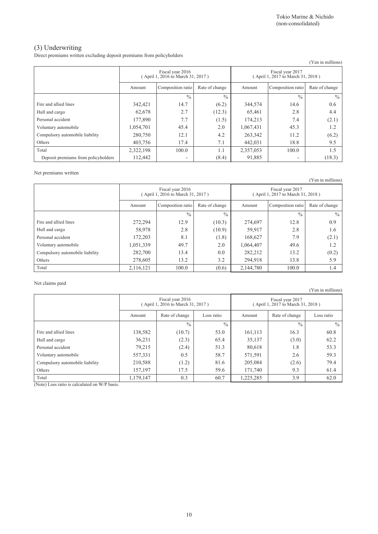### (3) Underwriting

Direct premiums written excluding deposit premiums from policyholders

|                                     |                                                      |                          |                |           |                                                       | (Yen in millions) |
|-------------------------------------|------------------------------------------------------|--------------------------|----------------|-----------|-------------------------------------------------------|-------------------|
|                                     | Fiscal year 2016<br>April 1, 2016 to March 31, 2017) |                          |                |           | Fiscal year 2017<br>(April 1, 2017 to March 31, 2018) |                   |
|                                     | Amount                                               | Composition ratio        | Rate of change | Amount    | Composition ratio                                     | Rate of change    |
|                                     |                                                      | $\frac{0}{0}$            | $\frac{0}{0}$  |           | $\frac{0}{0}$                                         | $\frac{0}{0}$     |
| Fire and allied lines               | 342,421                                              | 14.7                     | (6.2)          | 344,574   | 14.6                                                  | 0.6               |
| Hull and cargo                      | 62,678                                               | 2.7                      | (12.3)         | 65,461    | 2.8                                                   | 4.4               |
| Personal accident                   | 177.890                                              | 7.7                      | (1.5)          | 174,213   | 7.4                                                   | (2.1)             |
| Voluntary automobile                | 1,054,701                                            | 45.4                     | 2.0            | 1,067,431 | 45.3                                                  | 1.2               |
| Compulsory automobile liability     | 280,750                                              | 12.1                     | 4.2            | 263,342   | 11.2                                                  | (6.2)             |
| Others                              | 403,756                                              | 17.4                     | 7.1            | 442,031   | 18.8                                                  | 9.5               |
| Total                               | 2,322,198                                            | 100.0                    | 1.1            | 2,357,053 | 100.0                                                 | 1.5               |
| Deposit premiums from policyholders | 112,442                                              | $\overline{\phantom{0}}$ | (8.4)          | 91,885    | ۰                                                     | (18.3)            |

#### Net premiums written

(Yen in millions)

|                                 | Fiscal year 2016<br>April 1, 2016 to March 31, 2017) |                   |                |           | Fiscal year 2017<br>(April 1, 2017 to March 31, 2018) |                |
|---------------------------------|------------------------------------------------------|-------------------|----------------|-----------|-------------------------------------------------------|----------------|
|                                 | Amount                                               | Composition ratio | Rate of change | Amount    | Composition ratio                                     | Rate of change |
|                                 |                                                      | $\frac{0}{0}$     | $\frac{0}{0}$  |           | $\frac{0}{0}$                                         | $\frac{0}{0}$  |
| Fire and allied lines           | 272,294                                              | 12.9              | (10.3)         | 274,697   | 12.8                                                  | 0.9            |
| Hull and cargo                  | 58,978                                               | 2.8               | (10.9)         | 59,917    | 2.8                                                   | 1.6            |
| Personal accident               | 172,203                                              | 8.1               | (1.8)          | 168,627   | 7.9                                                   | (2.1)          |
| Voluntary automobile            | 1,051,339                                            | 49.7              | 2.0            | 1,064,407 | 49.6                                                  | 1.2            |
| Compulsory automobile liability | 282,700                                              | 13.4              | 0.0            | 282,212   | 13.2                                                  | (0.2)          |
| Others                          | 278,605                                              | 13.2              | 3.2            | 294,918   | 13.8                                                  | 5.9            |
| Total                           | 2,116,121                                            | 100.0             | (0.6)          | 2,144,780 | 100.0                                                 | 1.4            |

Net claims paid

(Yen in millions) Fiscal year 2016 ( April 1, 2016 to March 31, 2017 ) Fiscal year 2017 ( April 1, 2017 to March 31, 2018 ) Amount Rate of change Loss ratio Amount Rate of change Loss ratio  $\frac{9}{6}$  %  $\frac{9}{6}$  %  $\frac{9}{6}$  % Fire and allied lines 138,582 (10.7) 53.0 161,113 16.3 60.8 Hull and cargo **36,231** (2.3) 65.4 35,137 (3.0) 62.2 Personal accident **79,215** (2.4) 51.3 80,618 1.8 53.3 Voluntary automobile <br>
557,331 0.5 58.7 58.7 571,591 2.6 59.3 Compulsory automobile liability 210,588 (1.2) 81.6 205,084 (2.6) 79.4 Others 157,197 17.5 59.6 171,740 9.3 61.4 Total 1,179,147 0.3 60.7 1,225,285 3.9 62.0

(Note) Loss ratio is calculated on W/P basis.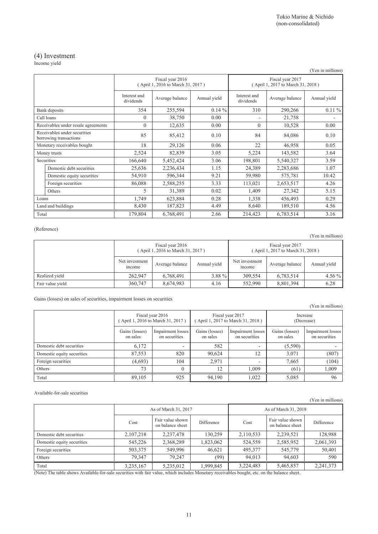### (4) Investment

Income yield

|       | $\cdots$                                               |                           |                                                       |              |                                                       |                 | (Yen in millions) |
|-------|--------------------------------------------------------|---------------------------|-------------------------------------------------------|--------------|-------------------------------------------------------|-----------------|-------------------|
|       |                                                        |                           | Fiscal year 2016<br>(April 1, 2016 to March 31, 2017) |              | Fiscal year 2017<br>(April 1, 2017 to March 31, 2018) |                 |                   |
|       |                                                        | Interest and<br>dividends | Average balance                                       | Annual yield | Interest and<br>dividends                             | Average balance | Annual yield      |
|       | Bank deposits                                          | 354                       | 255,594                                               | $0.14 \%$    | 310                                                   | 290,266         | $0.11\%$          |
|       | Call loans                                             | $\theta$                  | 38,750                                                | 0.00         | ٠                                                     | 21,758          |                   |
|       | Receivables under resale agreements                    | $\theta$                  | 12,635                                                | 0.00         | $\theta$                                              | 10,528          | 0.00              |
|       | Receivables under securities<br>borrowing transactions | 85                        | 85,412                                                | 0.10         | 84                                                    | 84,086          | 0.10              |
|       | Monetary receivables bought                            | 18                        | 29,126                                                | 0.06         | 22                                                    | 46,958          | 0.05              |
|       | Money trusts                                           | 2,524                     | 82,839                                                | 3.05         | 5,224                                                 | 143,582         | 3.64              |
|       | Securities                                             | 166,640                   | 5,452,424                                             | 3.06         | 198,801                                               | 5,540,327       | 3.59              |
|       | Domestic debt securities                               | 25,636                    | 2,236,434                                             | 1.15         | 24,389                                                | 2,283,686       | 1.07              |
|       | Domestic equity securities                             | 54,910                    | 596,344                                               | 9.21         | 59,980                                                | 575,781         | 10.42             |
|       | Foreign securities                                     | 86,088                    | 2,588,255                                             | 3.33         | 113,021                                               | 2,653,517       | 4.26              |
|       | Others                                                 | $\varsigma$               | 31,389                                                | 0.02         | 1,409                                                 | 27,342          | 5.15              |
| Loans |                                                        | 1,749                     | 623,884                                               | 0.28         | 1,338                                                 | 456,493         | 0.29              |
|       | Land and buildings                                     | 8,430                     | 187,823                                               | 4.49         | 8,640                                                 | 189,510         | 4.56              |
| Total |                                                        | 179,804                   | 6,768,491                                             | 2.66         | 214,423                                               | 6,783,514       | 3.16              |

#### (Reference)

(Yen in millions)

|                  | Fiscal year 2016<br>(April 1, 2016 to March 31, 2017) |                 |              |                                 | Fiscal year 2017<br>(April 1, 2017 to March 31, 2018) |              |
|------------------|-------------------------------------------------------|-----------------|--------------|---------------------------------|-------------------------------------------------------|--------------|
|                  | Net investment<br>mcome                               | Average balance | Annual yield | Net investment<br><i>n</i> come | Average balance                                       | Annual yield |
| Realized vield   | 262,947                                               | 6,768,491       | 3.88 $%$     | 309.554                         | 6,783,514                                             | $4.56\%$     |
| Fair value yield | 360,747                                               | 8,674,983       | 4.16         | 552.990                         | 8,801,394                                             | 6.28         |

Gains (losses) on sales of securities, impairment losses on securities

|                            |                                                      |                                    |                            |                                                      |                            | (Yen in millions)                  |
|----------------------------|------------------------------------------------------|------------------------------------|----------------------------|------------------------------------------------------|----------------------------|------------------------------------|
|                            | Fiscal year 2016<br>April 1, 2016 to March 31, 2017) |                                    |                            | Fiscal year 2017<br>April 1, 2017 to March 31, 2018) |                            | Increase<br>(Decrease)             |
|                            | Gains (losses)<br>on sales                           | Impairment losses<br>on securities | Gains (losses)<br>on sales | Impairment losses<br>on securities                   | Gains (losses)<br>on sales | Impairment losses<br>on securities |
| Domestic debt securities   | 6,172                                                | $\overline{\phantom{0}}$           | 582                        | $\overline{\phantom{0}}$                             | (5,590)                    |                                    |
| Domestic equity securities | 87,553                                               | 820                                | 90,624                     | 12                                                   | 3,071                      | (807)                              |
| Foreign securities         | (4,693)                                              | 104                                | 2.971                      | $\overline{\phantom{0}}$                             | 7.665                      | (104)                              |
| Others                     | 73                                                   | $\theta$                           | 12                         | 1.009                                                | (61)                       | 1,009                              |
| Total                      | 89,105                                               | 925                                | 94,190                     | 1,022                                                | 5,085                      | 96                                 |

#### Available-for-sale securities

| $1$ cu in miniquis)        |                      |                                      |            |                      |                                      |            |  |  |
|----------------------------|----------------------|--------------------------------------|------------|----------------------|--------------------------------------|------------|--|--|
|                            | As of March 31, 2017 |                                      |            | As of March 31, 2018 |                                      |            |  |  |
|                            | Cost                 | Fair value shown<br>on balance sheet | Difference | Cost                 | Fair value shown<br>on balance sheet | Difference |  |  |
| Domestic debt securities   | 2,107,218            | 2,237,478                            | 130,259    | 2,110,533            | 2,239,521                            | 128,988    |  |  |
| Domestic equity securities | 545,226              | 2,368,289                            | 1,823,062  | 524,559              | 2,585,952                            | 2,061,393  |  |  |
| Foreign securities         | 503,375              | 549.996                              | 46.621     | 495,377              | 545,779                              | 50,401     |  |  |
| Others                     | 79.347               | 79.247                               | (99)       | 94.013               | 94.603                               | 590        |  |  |
| Total                      | 3,235,167            | 5,235,012                            | 1,999,845  | 3,224,483            | 5,465,857                            | 2,241,373  |  |  |

(Note) The table shows Available-for-sale securities with fair value, which includes Monetary receivables bought, etc. on the balance sheet.

(Yen in millions)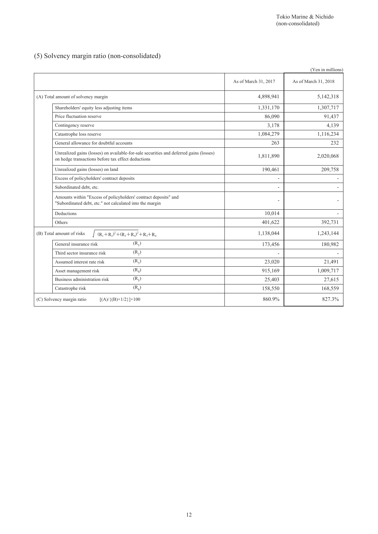### (5) Solvency margin ratio (non-consolidated)

|                                                                                                                                              |                      | (Yen in millions)    |
|----------------------------------------------------------------------------------------------------------------------------------------------|----------------------|----------------------|
|                                                                                                                                              | As of March 31, 2017 | As of March 31, 2018 |
| (A) Total amount of solvency margin                                                                                                          | 4,898,941            | 5,142,318            |
| Shareholders' equity less adjusting items                                                                                                    | 1,331,170            | 1,307,717            |
| Price fluctuation reserve                                                                                                                    | 86,090               | 91,437               |
| Contingency reserve                                                                                                                          | 3,178                | 4,139                |
| Catastrophe loss reserve                                                                                                                     | 1,084,279            | 1,116,234            |
| General allowance for doubtful accounts                                                                                                      | 263                  | 232                  |
| Unrealized gains (losses) on available-for-sale securities and deferred gains (losses)<br>on hedge transactions before tax effect deductions | 1,811,890            | 2,020,068            |
| Unrealized gains (losses) on land                                                                                                            | 190,461              | 209,758              |
| Excess of policyholders' contract deposits                                                                                                   |                      |                      |
| Subordinated debt, etc.                                                                                                                      |                      |                      |
| Amounts within "Excess of policyholders' contract deposits" and<br>"Subordinated debt, etc." not calculated into the margin                  |                      |                      |
| Deductions                                                                                                                                   | 10,014               |                      |
| Others                                                                                                                                       | 401,622              | 392,731              |
| $(R_1+R_2)^2+(R_3+R_4)^2+R_5+R_6$<br>(B) Total amount of risks                                                                               | 1,138,044            | 1,243,144            |
| $(R_1)$<br>General insurance risk                                                                                                            | 173,456              | 180,982              |
| $(R_2)$<br>Third sector insurance risk                                                                                                       |                      |                      |
| $(R_3)$<br>Assumed interest rate risk                                                                                                        | 23,020               | 21,491               |
| $(R_4)$<br>Asset management risk                                                                                                             | 915,169              | 1,009,717            |
| $(R_5)$<br>Business administration risk                                                                                                      | 25,403               | 27,615               |
| $(R_6)$<br>Catastrophe risk                                                                                                                  | 158,550              | 168,559              |
| (C) Solvency margin ratio<br>$[(A) / {(B)} \times 1/2] \times 100$                                                                           | 860.9%               | 827.3%               |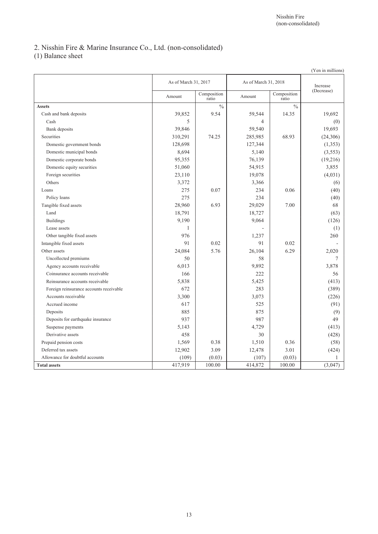## 2. Nisshin Fire & Marine Insurance Co., Ltd. (non-consolidated)

(1) Balance sheet

|                                         |                      |                      |                      |                      | (Yen in millions) |
|-----------------------------------------|----------------------|----------------------|----------------------|----------------------|-------------------|
|                                         | As of March 31, 2017 |                      | As of March 31, 2018 |                      | Increase          |
|                                         | Amount               | Composition<br>ratio | Amount               | Composition<br>ratio | (Decrease)        |
| <b>Assets</b>                           |                      | $\frac{0}{0}$        |                      | $\frac{0}{0}$        |                   |
| Cash and bank deposits                  | 39,852               | 9.54                 | 59,544               | 14.35                | 19,692            |
| Cash                                    | 5                    |                      | 4                    |                      | (0)               |
| Bank deposits                           | 39,846               |                      | 59,540               |                      | 19,693            |
| Securities                              | 310,291              | 74.25                | 285,985              | 68.93                | (24,306)          |
| Domestic government bonds               | 128,698              |                      | 127,344              |                      | (1,353)           |
| Domestic municipal bonds                | 8,694                |                      | 5,140                |                      | (3, 553)          |
| Domestic corporate bonds                | 95,355               |                      | 76,139               |                      | (19,216)          |
| Domestic equity securities              | 51,060               |                      | 54,915               |                      | 3,855             |
| Foreign securities                      | 23,110               |                      | 19,078               |                      | (4,031)           |
| Others                                  | 3,372                |                      | 3,366                |                      | (6)               |
| Loans                                   | 275                  | 0.07                 | 234                  | 0.06                 | (40)              |
| Policy loans                            | 275                  |                      | 234                  |                      | (40)              |
| Tangible fixed assets                   | 28,960               | 6.93                 | 29,029               | 7.00                 | 68                |
| Land                                    | 18,791               |                      | 18,727               |                      | (63)              |
| <b>Buildings</b>                        | 9,190                |                      | 9,064                |                      | (126)             |
| Lease assets                            | 1                    |                      |                      |                      | (1)               |
| Other tangible fixed assets             | 976                  |                      | 1,237                |                      | 260               |
| Intangible fixed assets                 | 91                   | 0.02                 | 91                   | 0.02                 |                   |
| Other assets                            | 24,084               | 5.76                 | 26,104               | 6.29                 | 2,020             |
| Uncollected premiums                    | 50                   |                      | 58                   |                      | 7                 |
| Agency accounts receivable              | 6,013                |                      | 9,892                |                      | 3.878             |
| Coinsurance accounts receivable         | 166                  |                      | 222                  |                      | 56                |
| Reinsurance accounts receivable         | 5,838                |                      | 5,425                |                      | (413)             |
| Foreign reinsurance accounts receivable | 672                  |                      | 283                  |                      | (389)             |
| Accounts receivable                     | 3,300                |                      | 3,073                |                      | (226)             |
| Accrued income                          | 617                  |                      | 525                  |                      | (91)              |
| Deposits                                | 885                  |                      | 875                  |                      | (9)               |
| Deposits for earthquake insurance       | 937                  |                      | 987                  |                      | 49                |
| Suspense payments                       | 5,143                |                      | 4,729                |                      | (413)             |
| Derivative assets                       | 458                  |                      | 30                   |                      | (428)             |
| Prepaid pension costs                   | 1,569                | 0.38                 | 1,510                | 0.36                 | (58)              |
| Deferred tax assets                     | 12,902               | 3.09                 | 12,478               | 3.01                 | (424)             |
| Allowance for doubtful accounts         | (109)                | (0.03)               | (107)                | (0.03)               | 1                 |
| <b>Total assets</b>                     | 417,919              | 100.00               | 414,872              | 100.00               | (3,047)           |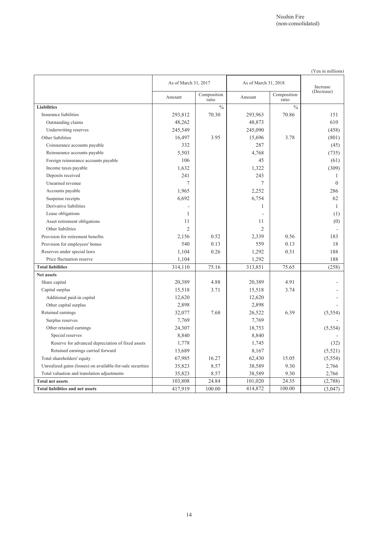|                                                            | As of March 31, 2017 |                      | As of March 31, 2018 |                      | Increase     |
|------------------------------------------------------------|----------------------|----------------------|----------------------|----------------------|--------------|
|                                                            | Amount               | Composition<br>ratio | Amount               | Composition<br>ratio | (Decrease)   |
| <b>Liabilities</b>                                         |                      | $\frac{0}{0}$        |                      | $\frac{0}{0}$        |              |
| Insurance liabilities                                      | 293,812              | 70.30                | 293,963              | 70.86                | 151          |
| Outstanding claims                                         | 48,262               |                      | 48,873               |                      | 610          |
| Underwriting reserves                                      | 245,549              |                      | 245,090              |                      | (458)        |
| Other liabilities                                          | 16,497               | 3.95                 | 15,696               | 3.78                 | (801)        |
| Coinsurance accounts payable                               | 332                  |                      | 287                  |                      | (45)         |
| Reinsurance accounts payable                               | 5,503                |                      | 4,768                |                      | (735)        |
| Foreign reinsurance accounts payable                       | 106                  |                      | 45                   |                      | (61)         |
| Income taxes payable                                       | 1,632                |                      | 1,322                |                      | (309)        |
| Deposits received                                          | 241                  |                      | 243                  |                      | 1            |
| Unearned revenue                                           | $\overline{7}$       |                      | 7                    |                      | $\Omega$     |
| Accounts payable                                           | 1,965                |                      | 2,252                |                      | 286          |
| Suspense receipts                                          | 6,692                |                      | 6,754                |                      | 62           |
| Derivative liabilities                                     |                      |                      | 1                    |                      | $\mathbf{1}$ |
| Lease obligations                                          | 1                    |                      |                      |                      | (1)          |
| Asset retirement obligations                               | 11                   |                      | 11                   |                      | (0)          |
| Other liabilities                                          | $\overline{2}$       |                      | $\overline{c}$       |                      |              |
| Provision for retirement benefits                          | 2,156                | 0.52                 | 2,339                | 0.56                 | 183          |
| Provision for employees' bonus                             | 540                  | 0.13                 | 559                  | 0.13                 | 18           |
| Reserves under special laws                                | 1,104                | 0.26                 | 1,292                | 0.31                 | 188          |
| Price fluctuation reserve                                  | 1,104                |                      | 1,292                |                      | 188          |
| <b>Total liabilities</b>                                   | 314,110              | 75.16                | 313,851              | 75.65                | (258)        |
| Net assets                                                 |                      |                      |                      |                      |              |
| Share capital                                              | 20,389               | 4.88                 | 20,389               | 4.91                 |              |
| Capital surplus                                            | 15,518               | 3.71                 | 15,518               | 3.74                 |              |
| Additional paid-in capital                                 | 12,620               |                      | 12,620               |                      |              |
| Other capital surplus                                      | 2,898                |                      | 2,898                |                      |              |
| Retained earnings                                          | 32,077               | 7.68                 | 26,522               | 6.39                 | (5, 554)     |
| Surplus reserves                                           | 7,769                |                      | 7,769                |                      |              |
| Other retained earnings                                    | 24,307               |                      | 18,753               |                      | (5, 554)     |
| Special reserves                                           | 8,840                |                      | 8,840                |                      |              |
| Reserve for advanced depreciation of fixed assets          | 1,778                |                      | 1,745                |                      | (32)         |
| Retained earnings carried forward                          | 13,689               |                      | 8,167                |                      | (5, 521)     |
| Total shareholders' equity                                 | 67,985               | 16.27                | 62,430               | 15.05                | (5, 554)     |
| Unrealized gains (losses) on available-for-sale securities | 35,823               | 8.57                 | 38,589               | 9.30                 | 2,766        |
| Total valuation and translation adjustments                | 35,823               | 8.57                 | 38,589               | 9.30                 | 2,766        |
| <b>Total net assets</b>                                    | 103,808              | 24.84                | 101,020              | 24.35                | (2,788)      |
| <b>Total liabilities and net assets</b>                    | 417,919              | 100.00               | 414,872              | 100.00               | (3,047)      |

(Yen in millions)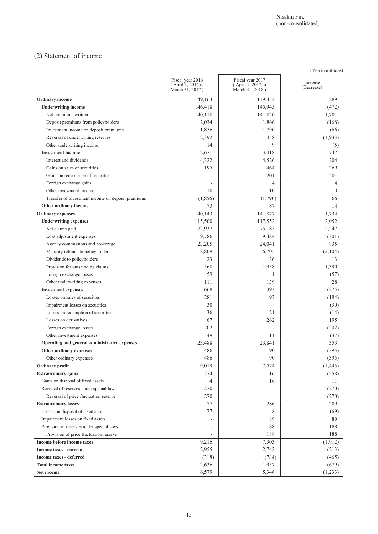## (2) Statement of income

| (Yen in millions)                                 |                                                          |                                                          |                        |  |  |
|---------------------------------------------------|----------------------------------------------------------|----------------------------------------------------------|------------------------|--|--|
|                                                   | Fiscal year 2016<br>(April 1, 2016 to<br>March 31, 2017) | Fiscal year 2017<br>(April 1, 2017 to<br>March 31, 2018) | Increase<br>(Decrease) |  |  |
| Ordinary income                                   | 149,163                                                  | 149,452                                                  | 289                    |  |  |
| <b>Underwriting income</b>                        | 146,418                                                  | 145,945                                                  | (472)                  |  |  |
| Net premiums written                              | 140,118                                                  | 141,820                                                  | 1,701                  |  |  |
| Deposit premiums from policyholders               | 2,034                                                    | 1,866                                                    | (168)                  |  |  |
| Investment income on deposit premiums             | 1,856                                                    | 1,790                                                    | (66)                   |  |  |
| Reversal of underwriting reserves                 | 2,392                                                    | 458                                                      | (1,933)                |  |  |
| Other underwriting income                         | 14                                                       | 9                                                        | (5)                    |  |  |
| <b>Investment income</b>                          | 2,671                                                    | 3,418                                                    | 747                    |  |  |
| Interest and dividends                            | 4,322                                                    | 4,526                                                    | 204                    |  |  |
| Gains on sales of securities                      | 195                                                      | 464                                                      | 269                    |  |  |
| Gains on redemption of securities                 |                                                          | 201                                                      | 201                    |  |  |
| Foreign exchange gains                            |                                                          | $\overline{4}$                                           | 4                      |  |  |
| Other investment income                           | 10                                                       | 10                                                       | $\overline{0}$         |  |  |
| Transfer of investment income on deposit premiums | (1, 856)                                                 | (1,790)                                                  | 66                     |  |  |
| Other ordinary income                             | 73                                                       | 87                                                       | 14                     |  |  |
| <b>Ordinary</b> expenses                          | 140,143                                                  | 141,877                                                  | 1,734                  |  |  |
| <b>Underwriting expenses</b>                      | 115,500                                                  | 117,552                                                  | 2,052                  |  |  |
| Net claims paid                                   | 72,937                                                   | 75,185                                                   | 2,247                  |  |  |
| Loss adjustment expenses                          | 9,786                                                    | 9,484                                                    | (301)                  |  |  |
| Agency commissions and brokerage                  | 23,205                                                   | 24,041                                                   | 835                    |  |  |
| Maturity refunds to policyholders                 | 8,809                                                    | 6,705                                                    | (2,104)                |  |  |
| Dividends to policyholders                        | 23                                                       | 36                                                       | 13                     |  |  |
| Provision for outstanding claims                  | 568                                                      | 1,958                                                    | 1,390                  |  |  |
| Foreign exchange losses                           | 59                                                       | 1                                                        | (57)                   |  |  |
| Other underwriting expenses                       | 111                                                      | 139                                                      | 28                     |  |  |
| <b>Investment expenses</b>                        | 668                                                      | 393                                                      | (275)                  |  |  |
| Losses on sales of securities                     | 281                                                      | 97                                                       | (184)                  |  |  |
| Impairment losses on securities                   | 30                                                       |                                                          | (30)                   |  |  |
| Losses on redemption of securities                | 36                                                       | 21                                                       | (14)                   |  |  |
| Losses on derivatives                             | 67                                                       | 262                                                      | 195                    |  |  |
| Foreign exchange losses                           | 202                                                      |                                                          | (202)                  |  |  |
| Other investment expenses                         | 49                                                       | 11                                                       | (37)                   |  |  |
| Operating and general administrative expenses     | 23,488                                                   | 23,841                                                   | 353                    |  |  |
| Other ordinary expenses                           | 486                                                      | 90                                                       | (395)                  |  |  |
| Other ordinary expenses                           | 486                                                      | 90                                                       | (395)                  |  |  |
| Ordinary profit                                   | 9,019                                                    | 7,574                                                    | (1, 445)               |  |  |
| <b>Extraordinary gains</b>                        | 274                                                      | 16                                                       | (258)                  |  |  |
| Gains on disposal of fixed assets                 | 4                                                        | 16                                                       | 11                     |  |  |
| Reversal of reserves under special laws           | 270                                                      |                                                          | (270)                  |  |  |
| Reversal of price fluctuation reserve             | 270                                                      |                                                          | (270)                  |  |  |
| <b>Extraordinary losses</b>                       | 77                                                       | 286                                                      | 209                    |  |  |
| Losses on disposal of fixed assets                | $77 \,$                                                  | 8                                                        | (69)                   |  |  |
| Impairment losses on fixed assets                 |                                                          | 89                                                       | 89                     |  |  |
| Provision of reserves under special laws          |                                                          | 188                                                      | 188                    |  |  |
| Provision of price fluctuation reserve            |                                                          | 188                                                      | 188                    |  |  |
| Income before income taxes                        | 9,216                                                    | 7,303                                                    | (1, 912)               |  |  |
| Income taxes - current                            | 2,955                                                    | 2,742                                                    | (213)                  |  |  |
| Income taxes - deferred                           | (318)                                                    | (784)                                                    | (465)                  |  |  |
| <b>Total income taxes</b>                         | 2,636                                                    | 1,957                                                    | (679)                  |  |  |
| Net income                                        | 6,579                                                    | 5,346                                                    | (1,233)                |  |  |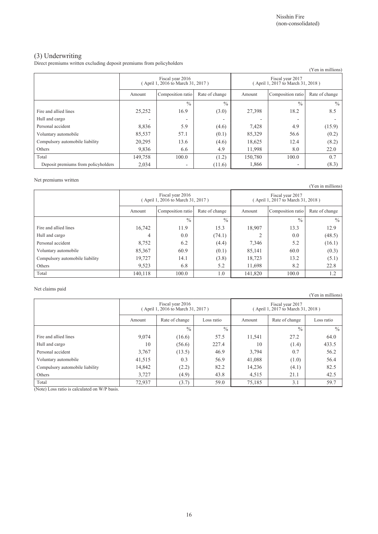(Yen in millions)

### (3) Underwriting

Direct premiums written excluding deposit premiums from policyholders

|                                     |                                                      |                   |                |                                                       |                          | , і ен ін піппопу |
|-------------------------------------|------------------------------------------------------|-------------------|----------------|-------------------------------------------------------|--------------------------|-------------------|
|                                     | Fiscal year 2016<br>April 1, 2016 to March 31, 2017) |                   |                | Fiscal year 2017<br>(April 1, 2017 to March 31, 2018) |                          |                   |
|                                     | Amount                                               | Composition ratio | Rate of change | Amount                                                | Composition ratio        | Rate of change    |
|                                     |                                                      | $\frac{0}{0}$     | $\frac{0}{0}$  |                                                       | $\frac{0}{0}$            | $\frac{0}{0}$     |
| Fire and allied lines               | 25,252                                               | 16.9              | (3.0)          | 27,398                                                | 18.2                     | 8.5               |
| Hull and cargo                      | -                                                    |                   | -              |                                                       | $\overline{\phantom{0}}$ |                   |
| Personal accident                   | 8,836                                                | 5.9               | (4.6)          | 7,428                                                 | 4.9                      | (15.9)            |
| Voluntary automobile                | 85,537                                               | 57.1              | (0.1)          | 85,329                                                | 56.6                     | (0.2)             |
| Compulsory automobile liability     | 20,295                                               | 13.6              | (4.6)          | 18,625                                                | 12.4                     | (8.2)             |
| Others                              | 9,836                                                | 6.6               | 4.9            | 11,998                                                | 8.0                      | 22.0              |
| Total                               | 149,758                                              | 100.0             | (1.2)          | 150,780                                               | 100.0                    | 0.7               |
| Deposit premiums from policyholders | 2,034                                                | ٠                 | (11.6)         | 1,866                                                 | ٠                        | (8.3)             |

#### Net premiums written

(Yen in millions) Fiscal year 2016 ( April 1, 2016 to March 31, 2017 ) Fiscal year 2017 ( April 1, 2017 to March 31, 2018 ) Amount Composition ratio Rate of change Amount Composition ratio Rate of change  $\frac{9}{6}$  %  $\frac{9}{6}$  %  $\frac{9}{6}$ Fire and allied lines 16,742 11.9 15.3 18,907 13.3 13.3 13.9 12.9 Hull and cargo  $4 \mid 0.0 \mid (74.1) \mid 2 \mid 0.0 \mid (48.5)$ Personal accident  $8,752$  6.2 (4.4)  $7,346$  5.2 (16.1) Voluntary automobile  $85,367$   $60.9$   $(0.1)$   $85,141$   $60.0$   $(0.3)$ Compulsory automobile liability 19,727 | 14.1 (3.8) 18,723 | 13.2 (5.1) Others 1. 11,698 8.2 22.8 Total 140,118 100.0 1.0 141,820 100.0 1.2

#### Net claims paid

Fiscal year 2016 ( April 1, 2016 to March 31, 2017 ) Fiscal year 2017 ( April 1, 2017 to March 31, 2018 ) Amount Rate of change Loss ratio Amount Rate of change Loss ratio  $\frac{9}{6}$  %  $\frac{9}{6}$  %  $\frac{9}{6}$ Fire and allied lines  $9,074$   $(16.6)$   $57.5$   $11,541$   $27.2$   $64.0$ Hull and cargo 10 (1.4) 10 (56.6) 227.4 10 (1.4) 433.5 Personal accident 3,767 (13.5) 46.9 3,794 0.7 56.2 Voluntary automobile 41,515 0.3 56.9 41,088 (1.0) 56.4 Compulsory automobile liability 14,842 (2.2) 82.2 14,236 (4.1) 82.5 Others (a.g. 2013) 3,727 (4.9) 43.8 4,515 21.1 42.5 Total 19 (3.7) 59.0 75,185 3.1 59.7

(Note) Loss ratio is calculated on W/P basis.

(Yen in millions)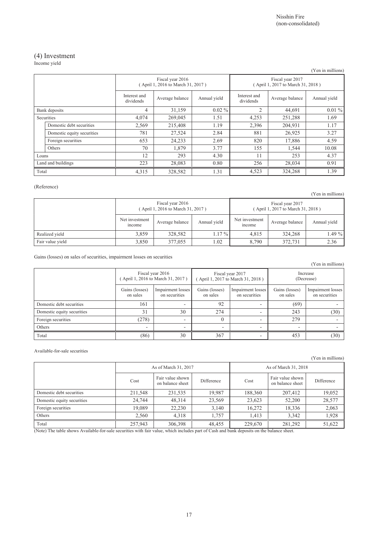# (4) Investment

Income yield

|                           |                            |                           |                                                       |                          |                                                       |                 | (Yen in millions) |
|---------------------------|----------------------------|---------------------------|-------------------------------------------------------|--------------------------|-------------------------------------------------------|-----------------|-------------------|
|                           |                            |                           | Fiscal year 2016<br>(April 1, 2016 to March 31, 2017) |                          | Fiscal year 2017<br>(April 1, 2017 to March 31, 2018) |                 |                   |
|                           |                            | Interest and<br>dividends | Average balance                                       | Annual yield             | Interest and<br>dividends                             | Average balance | Annual yield      |
|                           | Bank deposits              | 4                         | 31,159                                                | $0.02\%$                 | $\overline{2}$                                        | 44,691          | $0.01\%$          |
|                           | Securities                 | 4,074                     | 269,045                                               | 1.51                     | 4,253                                                 | 251,288         | 1.69              |
|                           | Domestic debt securities   | 2,569                     | 215,408                                               | 1.19                     | 2,396                                                 | 204,931         | 1.17              |
|                           | Domestic equity securities | 781                       | 27,524                                                | 2.84                     | 881                                                   | 26,925          | 3.27              |
|                           | Foreign securities         | 653                       | 24,233                                                | 2.69                     | 820                                                   | 17,886          | 4.59              |
|                           | Others                     | 70                        | 1,879                                                 | 3.77                     | 155                                                   | 1,544           | 10.08             |
| Loans                     |                            | 12                        | 293                                                   | 4.30                     | 11                                                    | 253             | 4.37              |
| 223<br>Land and buildings |                            | 28,083                    | 0.80                                                  | 256                      | 28,034                                                | 0.91            |                   |
| Total                     |                            | 4,315                     | 328,582                                               | 1.31<br>4,523<br>324,268 |                                                       | 1.39            |                   |

#### (Reference)

(Yen in millions)

|                  | Fiscal year 2016<br>(April 1, 2016 to March 31, 2017) |                 |              |                          | (April 1, 2017 to March 31, 2018) |              |
|------------------|-------------------------------------------------------|-----------------|--------------|--------------------------|-----------------------------------|--------------|
|                  | Net investment<br>mcome                               | Average balance | Annual yield | Net investment<br>income | Average balance                   | Annual yield |
| Realized vield   | 3.859                                                 | 328.582         | 1.17 % I     | 4.815                    | 324.268                           | 1.49 %       |
| Fair value vield | 3,850                                                 | 377,055         | 1.02         | 8.790                    | 372.731                           | 2.36         |

Gains (losses) on sales of securities, impairment losses on securities

|                            |                                                       |                                    |                                                      |                                    |                            | (Yen in millions)                  |
|----------------------------|-------------------------------------------------------|------------------------------------|------------------------------------------------------|------------------------------------|----------------------------|------------------------------------|
|                            | Fiscal year 2016<br>(April 1, 2016 to March 31, 2017) |                                    | Fiscal year 2017<br>April 1, 2017 to March 31, 2018) |                                    | Increase<br>(Decrease)     |                                    |
|                            | Gains (losses)<br>on sales                            | Impairment losses<br>on securities | Gains (losses)<br>on sales                           | Impairment losses<br>on securities | Gains (losses)<br>on sales | Impairment losses<br>on securities |
| Domestic debt securities   | 161                                                   | $\overline{\phantom{0}}$           | 92                                                   | $\overline{\phantom{a}}$           | (69)                       |                                    |
| Domestic equity securities | 31                                                    | 30                                 | 274                                                  |                                    | 243                        | (30)                               |
| Foreign securities         | (278)                                                 | ٠                                  |                                                      | $\overline{\phantom{a}}$           | 279                        |                                    |
| Others                     |                                                       | -                                  | -                                                    | $\overline{\phantom{a}}$           |                            |                                    |
| Total                      | (86)                                                  | 30                                 | 367                                                  |                                    | 453                        | (30)                               |

Available-for-sale securities

(Yen in millions)

|                            | As of March 31, 2017 |                                      |            | As of March 31, 2018 |                                      |            |
|----------------------------|----------------------|--------------------------------------|------------|----------------------|--------------------------------------|------------|
|                            | Cost                 | Fair value shown<br>on balance sheet | Difference | Cost                 | Fair value shown<br>on balance sheet | Difference |
| Domestic debt securities   | 211,548              | 231,535                              | 19,987     | 188,360              | 207,412                              | 19,052     |
| Domestic equity securities | 24.744               | 48,314                               | 23,569     | 23,623               | 52,200                               | 28,577     |
| Foreign securities         | 19,089               | 22,230                               | 3.140      | 16.272               | 18,336                               | 2,063      |
| Others                     | 2,560                | 4.318                                | 1.757      | 1.413                | 3.342                                | 1,928      |
| Total                      | 257,943              | 306,398                              | 48,455     | 229,670              | 281,292                              | 51,622     |

(Note) The table shows Available-for-sale securities with fair value, which includes part of Cash and bank deposits on the balance sheet.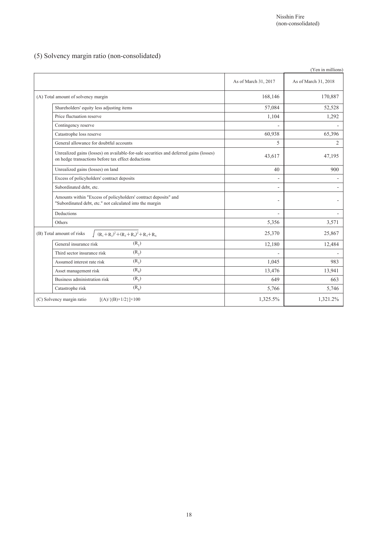## (5) Solvency margin ratio (non-consolidated)

|                                                                                                                                              |                      | (Yen in millions)    |
|----------------------------------------------------------------------------------------------------------------------------------------------|----------------------|----------------------|
|                                                                                                                                              | As of March 31, 2017 | As of March 31, 2018 |
| (A) Total amount of solvency margin                                                                                                          | 168,146              | 170,887              |
| Shareholders' equity less adjusting items                                                                                                    | 57,084               | 52,528               |
| Price fluctuation reserve                                                                                                                    | 1,104                | 1,292                |
| Contingency reserve                                                                                                                          |                      |                      |
| Catastrophe loss reserve                                                                                                                     | 60,938               | 65,396               |
| General allowance for doubtful accounts                                                                                                      | 5                    | $\overline{2}$       |
| Unrealized gains (losses) on available-for-sale securities and deferred gains (losses)<br>on hedge transactions before tax effect deductions | 43,617               | 47,195               |
| Unrealized gains (losses) on land                                                                                                            | 40                   | 900                  |
| Excess of policyholders' contract deposits                                                                                                   | $\overline{a}$       |                      |
| Subordinated debt, etc.                                                                                                                      |                      |                      |
| Amounts within "Excess of policyholders' contract deposits" and<br>"Subordinated debt, etc." not calculated into the margin                  |                      |                      |
| Deductions                                                                                                                                   |                      |                      |
| Others                                                                                                                                       | 5,356                | 3,571                |
| $(R_1+R_2)^2+(R_3+R_4)^2+R_5+R_6$<br>(B) Total amount of risks                                                                               | 25,370               | 25,867               |
| $(R_1)$<br>General insurance risk                                                                                                            | 12,180               | 12,484               |
| $(R_2)$<br>Third sector insurance risk                                                                                                       | L.                   | $\sim$               |
| $(R_3)$<br>Assumed interest rate risk                                                                                                        | 1,045                | 983                  |
| $(R_4)$<br>Asset management risk                                                                                                             | 13,476               | 13,941               |
| $(R_5)$<br>Business administration risk                                                                                                      | 649                  | 663                  |
| $(R_6)$<br>Catastrophe risk                                                                                                                  | 5,766                | 5,746                |
| (C) Solvency margin ratio<br>$[(A)/{(B)} \times 1/2] \times 100$                                                                             | 1,325.5%             | 1,321.2%             |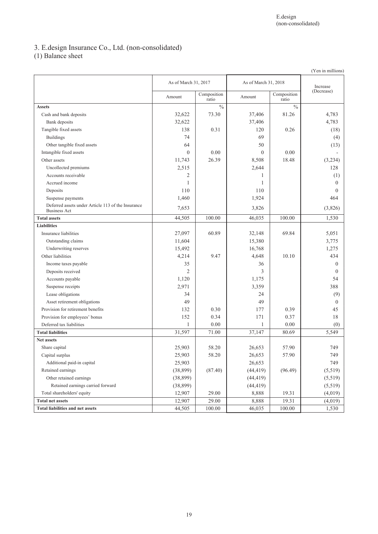# 3. E.design Insurance Co., Ltd. (non-consolidated)

(1) Balance sheet

|                                                                           |                      |                      |           |                      | (Yen in millions) |
|---------------------------------------------------------------------------|----------------------|----------------------|-----------|----------------------|-------------------|
|                                                                           | As of March 31, 2017 |                      |           | As of March 31, 2018 |                   |
|                                                                           | Amount               | Composition<br>ratio | Amount    | Composition<br>ratio | (Decrease)        |
| <b>Assets</b>                                                             |                      | $\frac{0}{0}$        |           | $\frac{0}{0}$        |                   |
| Cash and bank deposits                                                    | 32,622               | 73.30                | 37,406    | 81.26                | 4,783             |
| Bank deposits                                                             | 32,622               |                      | 37,406    |                      | 4,783             |
| Tangible fixed assets                                                     | 138                  | 0.31                 | 120       | 0.26                 | (18)              |
| <b>Buildings</b>                                                          | 74                   |                      | 69        |                      | (4)               |
| Other tangible fixed assets                                               | 64                   |                      | 50        |                      | (13)              |
| Intangible fixed assets                                                   | $\overline{0}$       | 0.00                 | $\theta$  | 0.00                 |                   |
| Other assets                                                              | 11,743               | 26.39                | 8,508     | 18.48                | (3,234)           |
| Uncollected premiums                                                      | 2,515                |                      | 2,644     |                      | 128               |
| Accounts receivable                                                       | 2                    |                      | 1         |                      | (1)               |
| Accrued income                                                            | 1                    |                      | 1         |                      | $\theta$          |
| Deposits                                                                  | 110                  |                      | 110       |                      | $\Omega$          |
| Suspense payments                                                         | 1,460                |                      | 1,924     |                      | 464               |
| Deferred assets under Article 113 of the Insurance<br><b>Business Act</b> | 7,653                |                      | 3,826     |                      | (3,826)           |
| <b>Total assets</b>                                                       | 44,505               | 100.00               | 46,035    | 100.00               | 1,530             |
| <b>Liabilities</b>                                                        |                      |                      |           |                      |                   |
| Insurance liabilities                                                     | 27,097               | 60.89                | 32,148    | 69.84                | 5,051             |
| Outstanding claims                                                        | 11,604               |                      | 15,380    |                      | 3,775             |
| Underwriting reserves                                                     | 15,492               |                      | 16,768    |                      | 1,275             |
| Other liabilities                                                         | 4,214                | 9.47                 | 4,648     | 10.10                | 434               |
| Income taxes payable                                                      | 35                   |                      | 36        |                      | $\mathbf{0}$      |
| Deposits received                                                         | $\overline{c}$       |                      | 3         |                      | $\Omega$          |
| Accounts payable                                                          | 1,120                |                      | 1,175     |                      | 54                |
| Suspense receipts                                                         | 2,971                |                      | 3,359     |                      | 388               |
| Lease obligations                                                         | 34                   |                      | 24        |                      | (9)               |
| Asset retirement obligations                                              | 49                   |                      | 49        |                      | $\theta$          |
| Provision for retirement benefits                                         | 132                  | 0.30                 | 177       | 0.39                 | 45                |
| Provision for employees' bonus                                            | 152                  | 0.34                 | 171       | 0.37                 | 18                |
| Deferred tax liabilities                                                  | 1                    | 0.00                 | 1         | 0.00                 | (0)               |
| <b>Total liabilities</b>                                                  | 31,597               | 71.00                | 37,147    | 80.69                | 5,549             |
| <b>Net assets</b>                                                         |                      |                      |           |                      |                   |
| Share capital                                                             | 25,903               | 58.20                | 26,653    | 57.90                | 749               |
| Capital surplus                                                           | 25,903               | 58.20                | 26,653    | 57.90                | 749               |
| Additional paid-in capital                                                | 25,903               |                      | 26,653    |                      | 749               |
| Retained earnings                                                         | (38, 899)            | (87.40)              | (44, 419) | (96.49)              | (5,519)           |
| Other retained earnings                                                   | (38, 899)            |                      | (44, 419) |                      | (5,519)           |
| Retained earnings carried forward                                         | (38, 899)            |                      | (44, 419) |                      | (5,519)           |
| Total shareholders' equity                                                | 12,907               | 29.00                | 8,888     | 19.31                | (4,019)           |
| <b>Total net assets</b>                                                   | 12,907               | 29.00                | 8,888     | 19.31                | (4,019)           |
| <b>Total liabilities and net assets</b>                                   | 44,505               | 100.00               | 46,035    | 100.00               | 1,530             |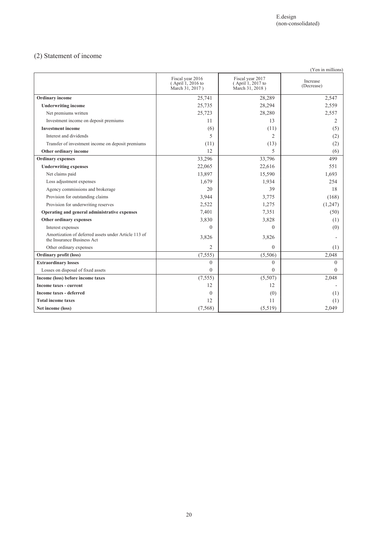## (2) Statement of income

|                                                                                    |                                                          |                                                          | (Yen in millions)      |
|------------------------------------------------------------------------------------|----------------------------------------------------------|----------------------------------------------------------|------------------------|
|                                                                                    | Fiscal year 2016<br>(April 1, 2016 to<br>March 31, 2017) | Fiscal year 2017<br>(April 1, 2017 to<br>March 31, 2018) | Increase<br>(Decrease) |
| <b>Ordinary</b> income                                                             | 25,741                                                   | 28,289                                                   | 2,547                  |
| <b>Underwriting income</b>                                                         | 25,735                                                   | 28,294                                                   | 2,559                  |
| Net premiums written                                                               | 25,723                                                   | 28,280                                                   | 2,557                  |
| Investment income on deposit premiums                                              | 11                                                       | 13                                                       | 2                      |
| <b>Investment income</b>                                                           | (6)                                                      | (11)                                                     | (5)                    |
| Interest and dividends                                                             | 5                                                        | 2                                                        | (2)                    |
| Transfer of investment income on deposit premiums                                  | (11)                                                     | (13)                                                     | (2)                    |
| Other ordinary income                                                              | 12                                                       | 5                                                        | (6)                    |
| <b>Ordinary</b> expenses                                                           | 33,296                                                   | 33,796                                                   | 499                    |
| <b>Underwriting expenses</b>                                                       | 22,065                                                   | 22,616                                                   | 551                    |
| Net claims paid                                                                    | 13,897                                                   | 15,590                                                   | 1,693                  |
| Loss adjustment expenses                                                           | 1,679                                                    | 1,934                                                    | 254                    |
| Agency commissions and brokerage                                                   | 20                                                       | 39                                                       | 18                     |
| Provision for outstanding claims                                                   | 3,944                                                    | 3,775                                                    | (168)                  |
| Provision for underwriting reserves                                                | 2,522                                                    | 1,275                                                    | (1,247)                |
| Operating and general administrative expenses                                      | 7,401                                                    | 7,351                                                    | (50)                   |
| Other ordinary expenses                                                            | 3,830                                                    | 3,828                                                    | (1)                    |
| Interest expenses                                                                  | $\Omega$                                                 | $\Omega$                                                 | (0)                    |
| Amortization of deferred assets under Article 113 of<br>the Insurance Business Act | 3,826                                                    | 3,826                                                    |                        |
| Other ordinary expenses                                                            | $\overline{2}$                                           | $\Omega$                                                 | (1)                    |
| Ordinary profit (loss)                                                             | (7, 555)                                                 | (5,506)                                                  | 2,048                  |
| <b>Extraordinary losses</b>                                                        | $\overline{0}$                                           | $\theta$                                                 | $\Omega$               |
| Losses on disposal of fixed assets                                                 | $\mathbf{0}$                                             | $\theta$                                                 | $\Omega$               |
| Income (loss) before income taxes                                                  | (7, 555)                                                 | (5,507)                                                  | 2,048                  |
| Income taxes - current                                                             | 12                                                       | 12                                                       |                        |
| <b>Income taxes - deferred</b>                                                     | $\theta$                                                 | (0)                                                      | (1)                    |
| <b>Total income taxes</b>                                                          | 12                                                       | 11                                                       | (1)                    |
| Net income (loss)                                                                  | (7, 568)                                                 | (5,519)                                                  | 2,049                  |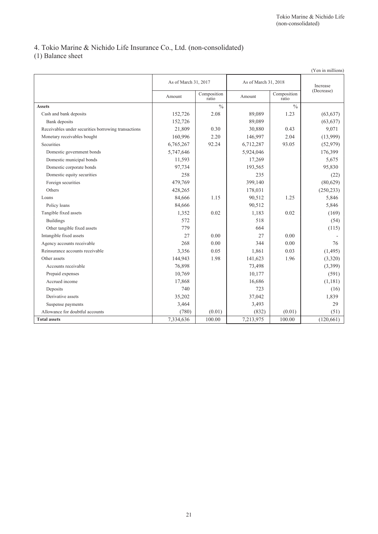# 4. Tokio Marine & Nichido Life Insurance Co., Ltd. (non-consolidated)

(1) Balance sheet

|                                                     |                      |                      |                      |                      | (Yen in millions) |
|-----------------------------------------------------|----------------------|----------------------|----------------------|----------------------|-------------------|
|                                                     | As of March 31, 2017 |                      | As of March 31, 2018 |                      | Increase          |
|                                                     | Amount               | Composition<br>ratio | Amount               | Composition<br>ratio | (Decrease)        |
| <b>Assets</b>                                       |                      | $\frac{0}{0}$        |                      | $\frac{0}{0}$        |                   |
| Cash and bank deposits                              | 152,726              | 2.08                 | 89,089               | 1.23                 | (63, 637)         |
| Bank deposits                                       | 152,726              |                      | 89,089               |                      | (63, 637)         |
| Receivables under securities borrowing transactions | 21,809               | 0.30                 | 30,880               | 0.43                 | 9,071             |
| Monetary receivables bought                         | 160,996              | 2.20                 | 146,997              | 2.04                 | (13,999)          |
| <b>Securities</b>                                   | 6,765,267            | 92.24                | 6,712,287            | 93.05                | (52, 979)         |
| Domestic government bonds                           | 5,747,646            |                      | 5,924,046            |                      | 176,399           |
| Domestic municipal bonds                            | 11,593               |                      | 17,269               |                      | 5,675             |
| Domestic corporate bonds                            | 97,734               |                      | 193,565              |                      | 95,830            |
| Domestic equity securities                          | 258                  |                      | 235                  |                      | (22)              |
| Foreign securities                                  | 479,769              |                      | 399,140              |                      | (80,629)          |
| Others                                              | 428,265              |                      | 178,031              |                      | (250, 233)        |
| Loans                                               | 84,666               | 1.15                 | 90,512               | 1.25                 | 5,846             |
| Policy loans                                        | 84,666               |                      | 90,512               |                      | 5,846             |
| Tangible fixed assets                               | 1,352                | 0.02                 | 1,183                | 0.02                 | (169)             |
| <b>Buildings</b>                                    | 572                  |                      | 518                  |                      | (54)              |
| Other tangible fixed assets                         | 779                  |                      | 664                  |                      | (115)             |
| Intangible fixed assets                             | 27                   | 0.00                 | 27                   | 0.00                 |                   |
| Agency accounts receivable                          | 268                  | 0.00                 | 344                  | 0.00                 | 76                |
| Reinsurance accounts receivable                     | 3,356                | 0.05                 | 1,861                | 0.03                 | (1,495)           |
| Other assets                                        | 144,943              | 1.98                 | 141,623              | 1.96                 | (3,320)           |
| Accounts receivable                                 | 76,898               |                      | 73,498               |                      | (3,399)           |
| Prepaid expenses                                    | 10,769               |                      | 10,177               |                      | (591)             |
| Accrued income                                      | 17,868               |                      | 16,686               |                      | (1,181)           |
| Deposits                                            | 740                  |                      | 723                  |                      | (16)              |
| Derivative assets                                   | 35,202               |                      | 37,042               |                      | 1,839             |
| Suspense payments                                   | 3,464                |                      | 3,493                |                      | 29                |
| Allowance for doubtful accounts                     | (780)                | (0.01)               | (832)                | (0.01)               | (51)              |
| <b>Total assets</b>                                 | 7,334,636            | 100.00               | 7,213,975            | 100.00               | (120, 661)        |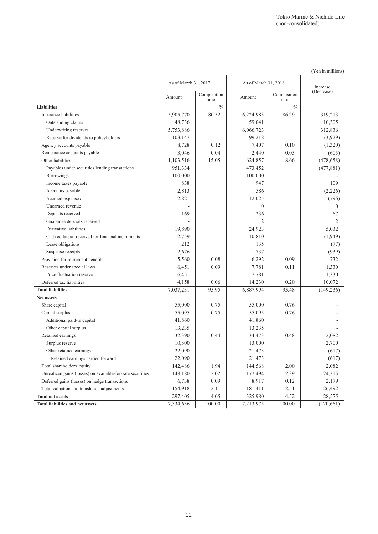|                                                            |                      |                      |                      |                      | (Yen in millions) |
|------------------------------------------------------------|----------------------|----------------------|----------------------|----------------------|-------------------|
|                                                            | As of March 31, 2017 |                      | As of March 31, 2018 | Increase             |                   |
|                                                            | Amount               | Composition<br>ratio | Amount               | Composition<br>ratio | (Decrease)        |
| <b>Liabilities</b>                                         |                      | $\%$                 |                      | $\frac{0}{0}$        |                   |
| Insurance liabilities                                      | 5,905,770            | 80.52                | 6,224,983            | 86.29                | 319,213           |
| Outstanding claims                                         | 48,736               |                      | 59,041               |                      | 10,305            |
| Underwriting reserves                                      | 5,753,886            |                      | 6,066,723            |                      | 312,836           |
| Reserve for dividends to policyholders                     | 103,147              |                      | 99,218               |                      | (3,929)           |
| Agency accounts payable                                    | 8,728                | 0.12                 | 7,407                | 0.10                 | (1,320)           |
| Reinsurance accounts payable                               | 3,046                | 0.04                 | 2,440                | 0.03                 | (605)             |
| Other liabilities                                          | 1,103,516            | 15.05                | 624,857              | 8.66                 | (478, 658)        |
| Payables under securities lending transactions             | 951,334              |                      | 473,452              |                      | (477, 881)        |
| <b>Borrowings</b>                                          | 100,000              |                      | 100,000              |                      |                   |
| Income taxes payable                                       | 838                  |                      | 947                  |                      | 109               |
| Accounts payable                                           | 2,813                |                      | 586                  |                      | (2,226)           |
| Accrued expenses                                           | 12,821               |                      | 12,025               |                      | (796)             |
| Unearned revenue                                           |                      |                      | $\mathbf{0}$         |                      | $\mathbf{0}$      |
| Deposits received                                          | 169                  |                      | 236                  |                      | 67                |
| Guarantee deposits received                                |                      |                      | 2                    |                      | 2                 |
| Derivative liabilities                                     | 19,890               |                      | 24,923               |                      | 5,032             |
| Cash collateral received for financial instruments         | 12,759               |                      | 10,810               |                      | (1,949)           |
| Lease obligations                                          | 212                  |                      | 135                  |                      | (77)              |
| Suspense receipts                                          | 2,676                |                      | 1,737                |                      | (939)             |
| Provision for retirement benefits                          | 5,560                | 0.08                 | 6,292                | 0.09                 | 732               |
| Reserves under special laws                                | 6,451                | 0.09                 | 7,781                | 0.11                 | 1,330             |
| Price fluctuation reserve                                  | 6,451                |                      | 7,781                |                      | 1,330             |
| Deferred tax liabilities                                   | 4,158                | 0.06                 | 14,230               | 0.20                 | 10,072            |
| <b>Total liabilities</b>                                   | 7,037,231            | 95.95                | 6,887,994            | 95.48                | (149, 236)        |
| Net assets                                                 |                      |                      |                      |                      |                   |
| Share capital                                              | 55,000               | 0.75                 | 55,000               | 0.76                 |                   |
| Capital surplus                                            | 55,095               | 0.75                 | 55,095               | 0.76                 |                   |
| Additional paid-in capital                                 | 41,860               |                      | 41,860               |                      |                   |
| Other capital surplus                                      | 13,235               |                      | 13,235               |                      |                   |
| Retained earnings                                          | 32,390               | 0.44                 | 34,473               | 0.48                 | 2,082             |
| Surplus reserve                                            | 10,300               |                      | 13,000               |                      | 2,700             |
| Other retained earnings                                    | 22,090               |                      | 21,473               |                      | (617)             |
| Retained earnings carried forward                          | 22,090               |                      | 21,473               |                      | (617)             |
| Total shareholders' equity                                 | 142,486              | 1.94                 | 144,568              | 2.00                 | 2,082             |
| Unrealized gains (losses) on available-for-sale securities | 148,180              | 2.02                 | 172,494              | 2.39                 | 24,313            |
| Deferred gains (losses) on hedge transactions              | 6,738                | 0.09                 | 8,917                | 0.12                 | 2,179             |
| Total valuation and translation adjustments                | 154,918              | 2.11                 | 181,411              | 2.51                 | 26,492            |
| <b>Total net assets</b>                                    | 297,405              | 4.05                 | 325,980              | 4.52                 | 28,575            |
| <b>Total liabilities and net assets</b>                    | 7,334,636            | 100.00               | 7,213,975            | 100.00               | (120,661)         |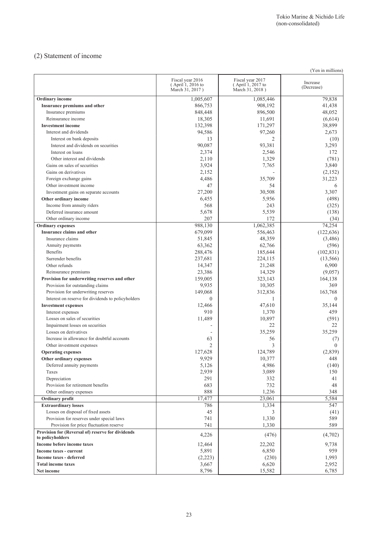### (2) Statement of income

| (Yen in millions)                                                     |                                                          |                                                          |                        |  |
|-----------------------------------------------------------------------|----------------------------------------------------------|----------------------------------------------------------|------------------------|--|
|                                                                       | Fiscal year 2016<br>(April 1, 2016 to<br>March 31, 2017) | Fiscal year 2017<br>(April 1, 2017 to<br>March 31, 2018) | Increase<br>(Decrease) |  |
| Ordinary income                                                       | 1,005,607                                                | 1,085,446                                                | 79,838                 |  |
| Insurance premiums and other                                          | 866,753                                                  | 908,192                                                  | 41,438                 |  |
| Insurance premiums                                                    | 848,448                                                  | 896,500                                                  | 48,052                 |  |
| Reinsurance income                                                    | 18,305                                                   | 11,691                                                   | (6,614)                |  |
| <b>Investment income</b>                                              | 132,398                                                  | 171,297                                                  | 38,899                 |  |
| Interest and dividends                                                | 94,586                                                   | 97,260                                                   | 2,673                  |  |
| Interest on bank deposits                                             | 13                                                       | 2                                                        | (10)                   |  |
| Interest and dividends on securities                                  | 90,087                                                   | 93,381                                                   | 3,293                  |  |
| Interest on loans                                                     | 2,374                                                    | 2,546                                                    | 172                    |  |
| Other interest and dividends                                          | 2,110                                                    | 1,329                                                    | (781)                  |  |
| Gains on sales of securities                                          | 3,924                                                    | 7,765                                                    | 3,840                  |  |
| Gains on derivatives                                                  | 2,152                                                    |                                                          | (2,152)                |  |
| Foreign exchange gains                                                | 4,486                                                    | 35,709                                                   | 31,223                 |  |
| Other investment income                                               | 47                                                       | 54                                                       | 6                      |  |
| Investment gains on separate accounts                                 | 27,200                                                   | 30,508                                                   | 3,307                  |  |
| Other ordinary income                                                 | 6,455                                                    | 5,956                                                    | (498)                  |  |
| Income from annuity riders                                            | 568                                                      | 243                                                      | (325)                  |  |
| Deferred insurance amount                                             | 5,678                                                    | 5,539                                                    | (138)                  |  |
| Other ordinary income                                                 | 207                                                      | 172                                                      | (34)                   |  |
| <b>Ordinary</b> expenses                                              | 988,130                                                  | 1,062,385                                                | 74,254                 |  |
| Insurance claims and other                                            | 679,099                                                  | 556,463                                                  | (122, 636)             |  |
| Insurance claims                                                      | 51,845                                                   | 48,359                                                   | (3,486)                |  |
| Annuity payments                                                      | 63,362                                                   | 62,766                                                   | (596)                  |  |
| <b>Benefits</b>                                                       | 288,476                                                  | 185,644                                                  | (102, 831)             |  |
| Surrender benefits                                                    | 237,681                                                  | 224,115                                                  | (13, 566)              |  |
| Other refunds                                                         | 14,347                                                   | 21,248                                                   | 6,900                  |  |
| Reinsurance premiums                                                  | 23,386                                                   | 14,329                                                   | (9,057)                |  |
| Provision for underwriting reserves and other                         | 159,005                                                  | 323,143                                                  | 164,138                |  |
| Provision for outstanding claims                                      | 9,935                                                    | 10,305                                                   | 369                    |  |
| Provision for underwriting reserves                                   | 149,068                                                  | 312,836                                                  | 163,768                |  |
| Interest on reserve for dividends to policyholders                    | $\theta$                                                 | -1                                                       | $\Omega$               |  |
| <b>Investment expenses</b>                                            | 12,466                                                   | 47,610                                                   | 35,144                 |  |
| Interest expenses                                                     | 910                                                      | 1,370                                                    | 459                    |  |
| Losses on sales of securities                                         | 11,489                                                   | 10,897                                                   | (591)                  |  |
| Impairment losses on securities                                       |                                                          | 22                                                       | 22                     |  |
| Losses on derivatives                                                 |                                                          | 35,259                                                   | 35,259                 |  |
| Increase in allowance for doubtful accounts                           | 63                                                       | 56                                                       | (7)                    |  |
| Other investment expenses                                             | $\overline{2}$                                           | 3                                                        | $\theta$               |  |
| <b>Operating expenses</b>                                             | 127,628                                                  | 124,789                                                  | (2,839)                |  |
| Other ordinary expenses                                               | 9,929                                                    | 10,377                                                   | 448                    |  |
| Deferred annuity payments                                             | 5,126                                                    | 4,986                                                    | (140)                  |  |
| Taxes                                                                 | 2,939                                                    | 3,089                                                    | 150                    |  |
| Depreciation                                                          | 291                                                      | 332                                                      | 41                     |  |
| Provision for retirement benefits                                     | 683                                                      | 732                                                      | 48                     |  |
| Other ordinary expenses                                               | 888                                                      | 1,236                                                    | 348                    |  |
| Ordinary profit                                                       | 17,477                                                   | 23,061                                                   | 5,584                  |  |
| <b>Extraordinary losses</b>                                           | 786                                                      | 1,334                                                    | 547                    |  |
| Losses on disposal of fixed assets                                    | 45                                                       | 3                                                        | (41)                   |  |
| Provision for reserves under special laws                             | 741                                                      | 1,330                                                    | 589                    |  |
| Provision for price fluctuation reserve                               | 741                                                      | 1,330                                                    | 589                    |  |
| Provision for (Reversal of) reserve for dividends<br>to policyholders | 4,226                                                    | (476)                                                    | (4,702)                |  |
| Income before income taxes                                            | 12,464                                                   | 22,202                                                   | 9,738                  |  |
| Income taxes - current                                                | 5,891                                                    | 6,850                                                    | 959                    |  |
| Income taxes - deferred                                               | (2,223)                                                  | (230)                                                    | 1,993                  |  |
| <b>Total income taxes</b>                                             | 3,667                                                    | 6,620                                                    | 2,952                  |  |
| Net income                                                            | 8,796                                                    | 15,582                                                   | 6,785                  |  |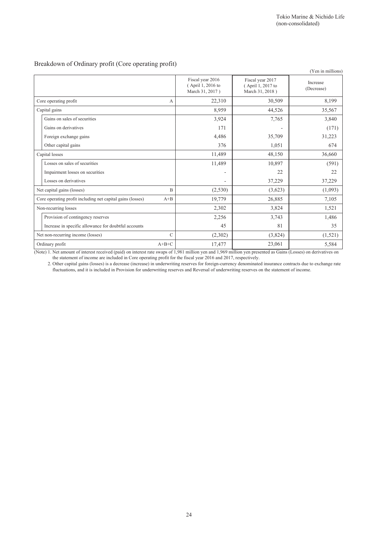### Breakdown of Ordinary profit (Core operating profit)

|                                                            |               |                                                          |                                                          | (Yen in millions)      |
|------------------------------------------------------------|---------------|----------------------------------------------------------|----------------------------------------------------------|------------------------|
|                                                            |               | Fiscal year 2016<br>(April 1, 2016 to<br>March 31, 2017) | Fiscal year 2017<br>(April 1, 2017 to<br>March 31, 2018) | Increase<br>(Decrease) |
| Core operating profit                                      | А             | 22,310                                                   | 30,509                                                   | 8,199                  |
| Capital gains                                              |               | 8,959                                                    | 44,526                                                   | 35,567                 |
| Gains on sales of securities                               |               | 3,924                                                    | 7,765                                                    | 3,840                  |
| Gains on derivatives                                       |               | 171                                                      |                                                          | (171)                  |
| Foreign exchange gains                                     |               | 4,486                                                    | 35,709                                                   | 31,223                 |
| Other capital gains                                        |               | 376                                                      | 1,051                                                    | 674                    |
| Capital losses                                             |               | 11,489                                                   | 48,150                                                   | 36,660                 |
| Losses on sales of securities                              |               | 11,489                                                   | 10,897                                                   | (591)                  |
| Impairment losses on securities                            |               | $\qquad \qquad \blacksquare$                             | 22                                                       | 22                     |
| Losses on derivatives                                      |               | $\overline{\phantom{0}}$                                 | 37,229                                                   | 37,229                 |
| Net capital gains (losses)                                 | B             | (2,530)                                                  | (3,623)                                                  | (1,093)                |
| Core operating profit including net capital gains (losses) | $A + B$       | 19,779                                                   | 26,885                                                   | 7,105                  |
| Non-recurring losses                                       |               | 2,302                                                    | 3,824                                                    | 1,521                  |
| Provision of contingency reserves                          |               | 2,256                                                    | 3,743                                                    | 1,486                  |
| Increase in specific allowance for doubtful accounts       |               | 45                                                       | 81                                                       | 35                     |
| Net non-recurring income (losses)                          | $\mathcal{C}$ | (2,302)                                                  | (3,824)                                                  | (1,521)                |
| Ordinary profit                                            | $A+B+C$       | 17,477                                                   | 23,061                                                   | 5,584                  |

(Note) 1. Net amount of interest received (paid) on interest rate swaps of 1,981 million yen and 1,969 million yen presented as Gains (Losses) on derivatives on the statement of income are included in Core operating profit for the fiscal year 2016 and 2017, respectively.

2. Other capital gains (losses) is a decrease (increase) in underwriting reserves for foreign-currency denominated insurance contracts due to exchange rate fluctuations, and it is included in Provision for underwriting reserves and Reversal of underwriting reserves on the statement of income.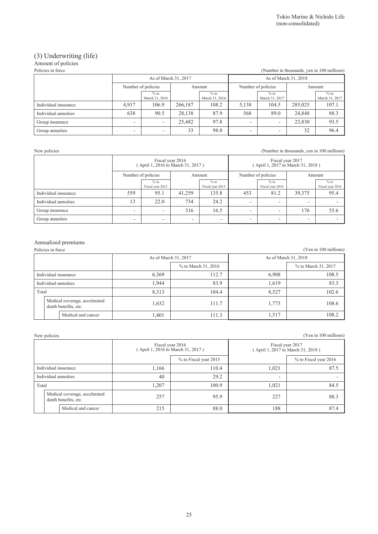### (3) Underwriting (life)

| Amount of policies                                              |                          |                          |         |                          |                          |                          |                      |                          |  |  |
|-----------------------------------------------------------------|--------------------------|--------------------------|---------|--------------------------|--------------------------|--------------------------|----------------------|--------------------------|--|--|
| (Number in thousands, yen in 100 millions)<br>Policies in force |                          |                          |         |                          |                          |                          |                      |                          |  |  |
|                                                                 |                          | As of March 31, 2017     |         |                          |                          |                          | As of March 31, 2018 |                          |  |  |
|                                                                 | Number of policies       |                          |         | Amount                   |                          | Number of policies       |                      | Amount                   |  |  |
|                                                                 |                          | $%$ to<br>March 31, 2016 |         | $%$ to<br>March 31, 2016 |                          | $%$ to<br>March 31, 2017 |                      | $%$ to<br>March 31, 2017 |  |  |
| Individual insurance                                            | 4.917                    | 106.9                    | 266,187 | 108.2                    | 5,138                    | 104.5                    | 285.025              | 107.1                    |  |  |
| Individual annuities                                            | 638                      | 90.5                     | 28,138  | 87.9                     | 568                      | 89.0                     | 24,848               | 88.3                     |  |  |
| Group insurance                                                 | ۰                        |                          | 25.482  | 97.8                     | -                        |                          | 23,830               | 93.5                     |  |  |
| Group annuities                                                 | $\overline{\phantom{0}}$ |                          | 33      | 98.0                     | $\overline{\phantom{0}}$ |                          | 32                   | 96.4                     |  |  |

New policies (Number in thousands, yen in 100 millions)

|                      | Fiscal year 2016<br>(April 1, 2016 to March 31, 2017) |                            |        |                            |                    | Fiscal year 2017<br>(April 1, 2017 to March 31, 2018) |                          |                            |
|----------------------|-------------------------------------------------------|----------------------------|--------|----------------------------|--------------------|-------------------------------------------------------|--------------------------|----------------------------|
|                      | Number of policies                                    |                            | Amount |                            | Number of policies |                                                       |                          | Amount                     |
|                      |                                                       | $%$ to<br>Fiscal year 2015 |        | $%$ to<br>Fiscal year 2015 |                    | $%$ to<br>Fiscal year 2016                            |                          | $%$ to<br>Fiscal year 2016 |
| Individual insurance | 559                                                   | 95.1                       | 41.259 | 135.8                      | 453                | 81.2                                                  | 39,375                   | 95.4                       |
| Individual annuities | 13                                                    | 22.0                       | 734    | 24.2                       | ۰                  | -                                                     | -                        |                            |
| Group insurance      | ۰                                                     | $\overline{\phantom{0}}$   | 316    | 16.5                       | ۰                  | -                                                     | 176                      | 55.6                       |
| Group annuities      | -                                                     | $\overline{\phantom{0}}$   | -      | -                          | ۰                  | -                                                     | $\overline{\phantom{0}}$ |                            |

# Annualized premiums

|                      | Policies in force<br>(Yen in 100 millions)            |       |                     |       |                      |  |  |  |
|----------------------|-------------------------------------------------------|-------|---------------------|-------|----------------------|--|--|--|
| As of March 31, 2017 |                                                       |       |                     |       | As of March 31, 2018 |  |  |  |
|                      |                                                       |       | % to March 31, 2016 |       | % to March 31, 2017  |  |  |  |
| Individual insurance |                                                       | 6,369 | 112.7               | 6,908 | 108.5                |  |  |  |
| Individual annuities |                                                       | 1,944 | 83.9                | 1,619 | 83.3                 |  |  |  |
| Total                |                                                       | 8,313 | 104.4               | 8,527 | 102.6                |  |  |  |
|                      | Medical coverage, accelerated<br>death benefits, etc. | 1,632 | 111.7               | 1,773 | 108.6                |  |  |  |
|                      | Medical and cancer                                    | 1,401 | 111.3               | 1,517 | 108.2                |  |  |  |

New policies (Yen in 100 millions)

|                      |                      |                                                       |       | Fiscal year 2016<br>(April 1, 2016 to March 31, 2017) |       | Fiscal year 2017<br>(April 1, 2017 to March 31, 2018) |
|----------------------|----------------------|-------------------------------------------------------|-------|-------------------------------------------------------|-------|-------------------------------------------------------|
|                      |                      |                                                       |       | % to Fiscal year 2015                                 |       | % to Fiscal year 2016                                 |
| Individual insurance |                      |                                                       | 1.166 | 110.4                                                 | 1,021 | 87.5                                                  |
|                      | Individual annuities |                                                       | 40    | 29.2                                                  | -     |                                                       |
| Total                |                      | 1,207<br>100.9                                        |       | 1,021                                                 | 84.5  |                                                       |
|                      |                      | Medical coverage, accelerated<br>death benefits, etc. | 257   | 95.9                                                  | 227   | 88.3                                                  |
|                      |                      | Medical and cancer                                    | 215   | 88.0                                                  | 188   | 87.4                                                  |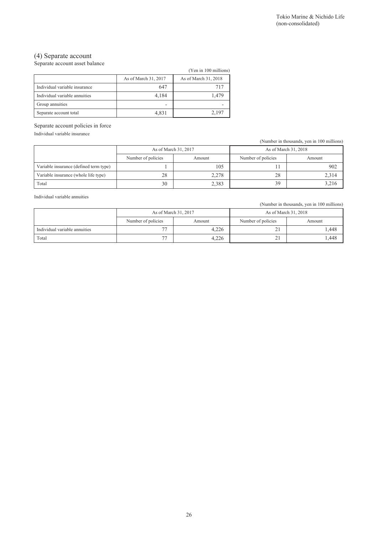### (4) Separate account

Separate account asset balance

|                               |                      | (Yen in 100 millions) |
|-------------------------------|----------------------|-----------------------|
|                               | As of March 31, 2017 | As of March 31, 2018  |
| Individual variable insurance | 647                  | 717                   |
| Individual variable annuities | 4.184                | 1.479                 |
| Group annuities               |                      |                       |
| Separate account total        | 4,831                | 2,197                 |

Separate account policies in force

Individual variable insurance

(Number in thousands, yen in 100 millions)

|                                        |                              | As of March 31, 2017 |                    | As of March 31, 2018 |
|----------------------------------------|------------------------------|----------------------|--------------------|----------------------|
|                                        | Number of policies<br>Amount |                      | Number of policies | Amount               |
| Variable insurance (defined term type) |                              | 105                  |                    | 902                  |
| Variable insurance (whole life type)   | 28                           | 2,278                | 28                 | 2,314                |
| Total                                  | 30                           | 2,383                | 39                 | 3,216                |

Individual variable annuities

(Number in thousands, yen in 100 millions)

|                               | As of March 31, 2017     |        | As of March 31, 2018 |        |  |
|-------------------------------|--------------------------|--------|----------------------|--------|--|
|                               | Number of policies       | Amount |                      | Amount |  |
| Individual variable annuities | $\overline{\phantom{a}}$ | 4.226  | ~                    | .448   |  |
| Total                         | $\overline{\phantom{a}}$ | 4,226  | <b>L</b>             | .448   |  |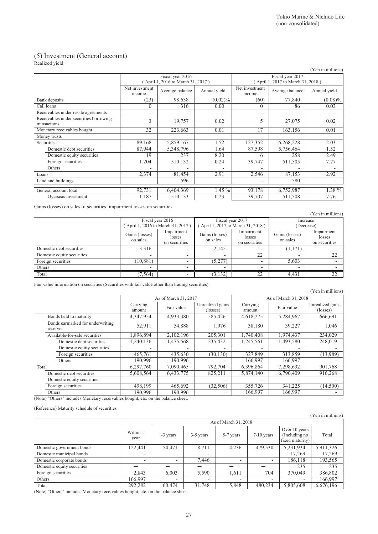## (5) Investment (General account)

Realized yield

|                    |                                                        |                          |                                  |              |                          |                                   | (Yen in millions) |
|--------------------|--------------------------------------------------------|--------------------------|----------------------------------|--------------|--------------------------|-----------------------------------|-------------------|
|                    |                                                        |                          | Fiscal year 2016                 |              | Fiscal year 2017         |                                   |                   |
|                    |                                                        |                          | April 1, 2016 to March 31, 2017) |              |                          | (April 1, 2017 to March 31, 2018) |                   |
|                    |                                                        | Net investment<br>income | Average balance                  | Annual yield | Net investment<br>income | Average balance                   | Annual yield      |
|                    | Bank deposits                                          | (23)                     | 98,638                           | $(0.02)\%$   | (60)                     | 77,840                            | $(0.08)\%$        |
|                    | Call loans                                             | $\theta$                 | 316                              | 0.00         | $\theta$                 | 86                                | 0.03              |
|                    | Receivables under resale agreements                    | $\overline{\phantom{a}}$ |                                  |              | ۰                        |                                   |                   |
|                    | Receivables under securities borrowing<br>transactions | 3                        | 19,757                           | 0.02         | 5                        | 27,075                            | 0.02              |
|                    | Monetary receivables bought                            | 32                       | 223,663                          | 0.01         | 17                       | 163,156                           | 0.01              |
| Money trusts       |                                                        | ۰                        | $\overline{\phantom{a}}$         |              | $\overline{\phantom{0}}$ |                                   |                   |
|                    | Securities                                             | 89,168                   | 5,859,167                        | 1.52         | 127,352                  | 6,268,228                         | 2.03              |
|                    | Domestic debt securities                               | 87,944                   | 5,348,796                        | 1.64         | 87,598                   | 5,756,464                         | 1.52              |
|                    | Domestic equity securities                             | 19                       | 237                              | 8.20         | 6                        | 258                               | 2.49              |
|                    | Foreign securities                                     | 1,204                    | 510,132                          | 0.24         | 39,747                   | 511,505                           | 7.77              |
|                    | Others                                                 |                          | $\overline{\phantom{a}}$         |              |                          | -                                 |                   |
| Loans              |                                                        | 2,374                    | 81,454                           | 2.91         | 2,546                    | 87,153                            | 2.92              |
| Land and buildings |                                                        | ٠                        | 596                              | ٠            |                          | 580                               |                   |
|                    | General account total                                  | 92,731                   | 6,404,369                        | $1.45\%$     | 93,178                   | 6,752,987                         | 1.38 %            |
|                    | Overseas investment                                    | 1,187                    | 510,133                          | 0.23         | 39,707                   | 511,508                           | 7.76              |

Gains (losses) on sales of securities, impairment losses on securities

|                                                       |                            |                                                      |                            |                                       |                            | (Yen in millions)                     |
|-------------------------------------------------------|----------------------------|------------------------------------------------------|----------------------------|---------------------------------------|----------------------------|---------------------------------------|
| Fiscal year 2016<br>(April 1, 2016 to March 31, 2017) |                            | Fiscal year 2017<br>April 1, 2017 to March 31, 2018) |                            | Increase<br>(Decrease)                |                            |                                       |
|                                                       | Gains (losses)<br>on sales | Impairment<br>losses<br>on securities                | Gains (losses)<br>on sales | Impairment<br>losses<br>on securities | Gains (losses)<br>on sales | Impairment<br>losses<br>on securities |
| Domestic debt securities                              | 3,316                      |                                                      | 2,145                      |                                       | (1,171)                    |                                       |
| Domestic equity securities                            | $\overline{\phantom{a}}$   |                                                      | $\overline{\phantom{0}}$   | 22                                    | -                          | 22                                    |
| Foreign securities                                    | (10, 881)                  |                                                      | (5,277)                    |                                       | 5.603                      |                                       |
| Others                                                | $\overline{\phantom{a}}$   | $\overline{\phantom{0}}$                             | $\overline{\phantom{0}}$   | $\overline{\phantom{0}}$              | ٠                          |                                       |
| Total                                                 | (7, 564)                   |                                                      | (3, 132)                   | 22                                    | 4,431                      | 22                                    |

Fair value information on securities (Securities with fair value other than trading securities)

|                                          |                                              |                                          |                      |                              |                    |                      | (Yen in millions)            |  |
|------------------------------------------|----------------------------------------------|------------------------------------------|----------------------|------------------------------|--------------------|----------------------|------------------------------|--|
|                                          |                                              |                                          | As of March 31, 2017 |                              |                    | As of March 31, 2018 |                              |  |
|                                          |                                              | Carrying<br>amount                       | Fair value           | Unrealized gains<br>(losses) | Carrying<br>amount | Fair value           | Unrealized gains<br>(losses) |  |
|                                          | Bonds held to maturity                       | 4,347,954                                | 4,933,380            | 585,426                      | 4,618,275          | 5,284,967            | 666,691                      |  |
|                                          | Bonds earmarked for underwriting<br>reserves | 52,911                                   | 54,888               | 1,976                        | 38,180             | 39,227               | 1,046                        |  |
|                                          | Available-for-sale securities                | 1,896,894                                | 2,102,196            | 205,301                      | 1,740,408          | 1,974,437            | 234,029                      |  |
|                                          | Domestic debt securities                     | 1,240,136                                | 1,475,568            | 235,432                      | 1,245,561          | 1,493,580            | 248,019                      |  |
|                                          | Domestic equity securities                   |                                          |                      |                              |                    |                      |                              |  |
|                                          | Foreign securities                           | 465,761                                  | 435,630              | (30, 130)                    | 327,849            | 313,859              | (13,989)                     |  |
|                                          | Others                                       | 190.996                                  | 190.996              |                              | 166.997            | 166.997              |                              |  |
| Total                                    |                                              | 6,297,760                                | 7,090,465            | 792,704                      | 6,396,864          | 7,298,632            | 901,768                      |  |
|                                          | Domestic debt securities                     | 5,608,564                                | 6,433,775            | 825,211                      | 5,874,140          | 6,790,409            | 916,268                      |  |
|                                          | Domestic equity securities                   |                                          |                      |                              |                    |                      |                              |  |
|                                          | Foreign securities                           | 498,199                                  | 465,692              | (32, 506)                    | 355,726            | 341,225              | (14,500)                     |  |
| $\Delta x \rightarrow \Delta B \Delta A$ | Others<br>.<br>$\cdots$ $\cdots$             | 190,996<br>$\mathbf{1}$ and $\mathbf{1}$ | 190,996<br>$\cdots$  | ۰                            | 166,997            | 166,997              |                              |  |

(Note) "Others" includes Monetary receivables bought, etc. on the balance sheet.

(Reference) Maturity schedule of securities

|                            |                                                                                                                              |                          |                          |       |                          |           | (Yen in millions) |
|----------------------------|------------------------------------------------------------------------------------------------------------------------------|--------------------------|--------------------------|-------|--------------------------|-----------|-------------------|
|                            |                                                                                                                              | As of March 31, 2018     |                          |       |                          |           |                   |
|                            | Over 10 years<br>Within 1<br>$7-10$ years<br>(Including no<br>1-3 years<br>3-5 years<br>5-7 years<br>year<br>fixed maturity) |                          |                          |       |                          |           | Total             |
| Domestic government bonds  | 122,441                                                                                                                      | 54,471                   | 18,711                   | 4,236 | 479,530                  | 5,231,934 | 5,911,326         |
| Domestic municipal bonds   |                                                                                                                              | ٠                        | $\overline{a}$           |       | $\overline{\phantom{0}}$ | 17,269    | 17,269            |
| Domestic corporate bonds   |                                                                                                                              | ٠                        | 7,446                    |       | $\overline{\phantom{0}}$ | 186,118   | 193,565           |
| Domestic equity securities |                                                                                                                              |                          |                          |       |                          | 235       | 235               |
| Foreign securities         | 2,843                                                                                                                        | 6,003                    | 5,590                    | 1,611 | 704                      | 370,049   | 386,802           |
| Others                     | 166,997                                                                                                                      | $\overline{\phantom{0}}$ | $\overline{\phantom{a}}$ |       | $\overline{\phantom{0}}$ |           | 166,997           |
| Total<br>.<br>.            | 292,282                                                                                                                      | 60,474                   | 31,748                   | 5,848 | 480,234                  | 5,805,608 | 6,676,196         |

(Note) "Others" includes Monetary receivables bought, etc. on the balance sheet.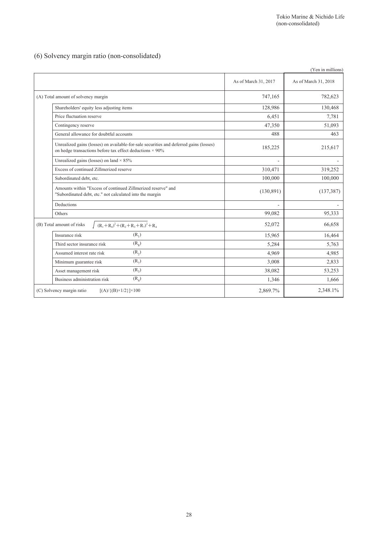### (6) Solvency margin ratio (non-consolidated)

|                                                                                                                                                           |                      | (Yen in millions)    |
|-----------------------------------------------------------------------------------------------------------------------------------------------------------|----------------------|----------------------|
|                                                                                                                                                           | As of March 31, 2017 | As of March 31, 2018 |
| (A) Total amount of solvency margin                                                                                                                       | 747,165              | 782,623              |
| Shareholders' equity less adjusting items                                                                                                                 | 128,986              | 130,468              |
| Price fluctuation reserve                                                                                                                                 | 6,451                | 7,781                |
| Contingency reserve                                                                                                                                       | 47,350               | 51,093               |
| General allowance for doubtful accounts                                                                                                                   | 488                  | 463                  |
| Unrealized gains (losses) on available-for-sale securities and deferred gains (losses)<br>on hedge transactions before tax effect deductions $\times$ 90% | 185,225              | 215,617              |
| Unrealized gains (losses) on land $\times$ 85%                                                                                                            |                      |                      |
| Excess of continued Zillmerized reserve                                                                                                                   | 310,471              | 319,252              |
| Subordinated debt, etc.                                                                                                                                   | 100,000              | 100,000              |
| Amounts within "Excess of continued Zillmerized reserve" and<br>"Subordinated debt, etc." not calculated into the margin                                  | (130, 891)           | (137, 387)           |
| Deductions                                                                                                                                                |                      |                      |
| Others                                                                                                                                                    | 99,082               | 95,333               |
| $(R_1 + R_8)^2 + (R_2 + R_3 + R_7)^2 + R_4$<br>(B) Total amount of risks                                                                                  | 52,072               | 66,658               |
| $(R_1)$<br>Insurance risk                                                                                                                                 | 15,965               | 16,464               |
| (R <sub>8</sub> )<br>Third sector insurance risk                                                                                                          | 5,284                | 5,763                |
| $(R_2)$<br>Assumed interest rate risk                                                                                                                     | 4,969                | 4,985                |
| $(R_7)$<br>Minimum guarantee risk                                                                                                                         | 3,008                | 2,833                |
| $(R_2)$<br>Asset management risk                                                                                                                          | 38,082               | 53,253               |
| $(R_4)$<br>Business administration risk                                                                                                                   | 1,346                | 1,666                |
| (C) Solvency margin ratio<br>$[(A) / {(B)} \times 1/2] \times 100$                                                                                        | 2,869.7%             | 2,348.1%             |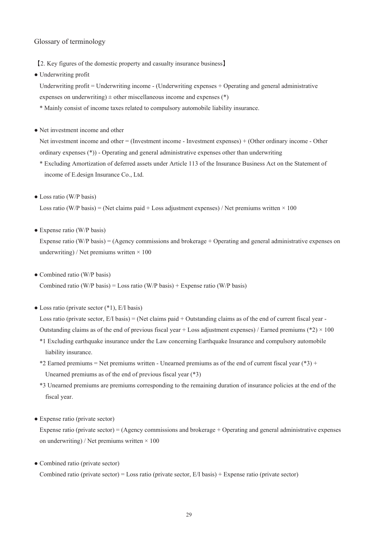### Glossary of terminology

【2. Key figures of the domestic property and casualty insurance business】

● Underwriting profit

Underwriting profit = Underwriting income - (Underwriting expenses + Operating and general administrative expenses on underwriting)  $\pm$  other miscellaneous income and expenses (\*)

- \* Mainly consist of income taxes related to compulsory automobile liability insurance.
- Net investment income and other

Net investment income and other = (Investment income - Investment expenses) + (Other ordinary income - Other ordinary expenses (\*)) - Operating and general administrative expenses other than underwriting

- \* Excluding Amortization of deferred assets under Article 113 of the Insurance Business Act on the Statement of income of E.design Insurance Co., Ltd.
- Loss ratio (W/P basis)

Loss ratio (W/P basis) = (Net claims paid + Loss adjustment expenses) / Net premiums written  $\times$  100

• Expense ratio (W/P basis)

Expense ratio (W/P basis) = (Agency commissions and brokerage + Operating and general administrative expenses on underwriting) / Net premiums written  $\times$  100

• Combined ratio (W/P basis)

Combined ratio (W/P basis) = Loss ratio (W/P basis) + Expense ratio (W/P basis)

 $\bullet$  Loss ratio (private sector  $(*1)$ , E/I basis)

Loss ratio (private sector,  $E/I$  basis) = (Net claims paid + Outstanding claims as of the end of current fiscal year -Outstanding claims as of the end of previous fiscal year + Loss adjustment expenses) / Earned premiums (\*2)  $\times$  100

- \*1 Excluding earthquake insurance under the Law concerning Earthquake Insurance and compulsory automobile liability insurance.
- \*2 Earned premiums = Net premiums written Unearned premiums as of the end of current fiscal year (\*3) + Unearned premiums as of the end of previous fiscal year (\*3)
- \*3 Unearned premiums are premiums corresponding to the remaining duration of insurance policies at the end of the fiscal year.
- Expense ratio (private sector)

Expense ratio (private sector) = (Agency commissions and brokerage + Operating and general administrative expenses on underwriting) / Net premiums written  $\times 100$ 

• Combined ratio (private sector)

Combined ratio (private sector) = Loss ratio (private sector, E/I basis) + Expense ratio (private sector)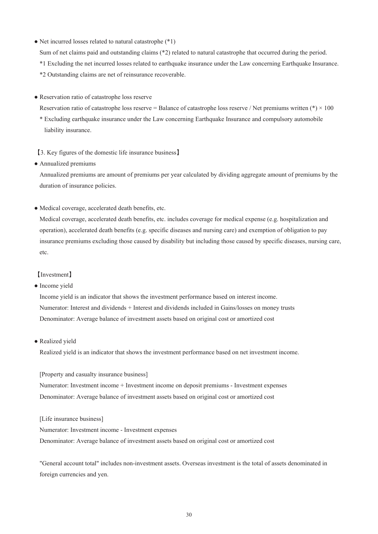• Net incurred losses related to natural catastrophe (\*1)

Sum of net claims paid and outstanding claims (\*2) related to natural catastrophe that occurred during the period.

- \*1 Excluding the net incurred losses related to earthquake insurance under the Law concerning Earthquake Insurance.
- \*2 Outstanding claims are net of reinsurance recoverable.
- Reservation ratio of catastrophe loss reserve
	- Reservation ratio of catastrophe loss reserve = Balance of catastrophe loss reserve / Net premiums written (\*)  $\times$  100
	- \* Excluding earthquake insurance under the Law concerning Earthquake Insurance and compulsory automobile liability insurance.
	- 【3. Key figures of the domestic life insurance business】
- Annualized premiums

Annualized premiums are amount of premiums per year calculated by dividing aggregate amount of premiums by the duration of insurance policies.

● Medical coverage, accelerated death benefits, etc.

Medical coverage, accelerated death benefits, etc. includes coverage for medical expense (e.g. hospitalization and operation), accelerated death benefits (e.g. specific diseases and nursing care) and exemption of obligation to pay insurance premiums excluding those caused by disability but including those caused by specific diseases, nursing care, etc.

### 【Investment】

#### • Income yield

Income yield is an indicator that shows the investment performance based on interest income. Numerator: Interest and dividends + Interest and dividends included in Gains/losses on money trusts Denominator: Average balance of investment assets based on original cost or amortized cost

• Realized yield

Realized yield is an indicator that shows the investment performance based on net investment income.

[Property and casualty insurance business]

Numerator: Investment income + Investment income on deposit premiums - Investment expenses Denominator: Average balance of investment assets based on original cost or amortized cost

#### [Life insurance business]

Numerator: Investment income - Investment expenses Denominator: Average balance of investment assets based on original cost or amortized cost

"General account total" includes non-investment assets. Overseas investment is the total of assets denominated in foreign currencies and yen.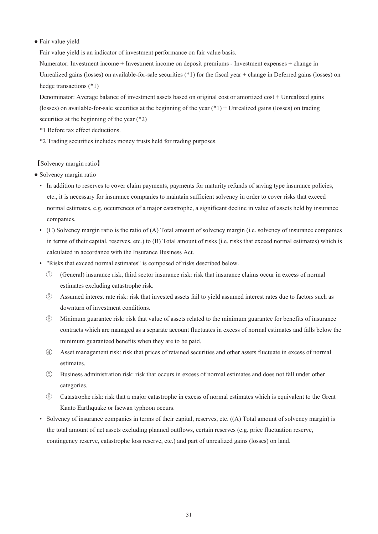#### ● Fair value yield

Fair value yield is an indicator of investment performance on fair value basis.

Numerator: Investment income + Investment income on deposit premiums - Investment expenses + change in Unrealized gains (losses) on available-for-sale securities  $(*1)$  for the fiscal year + change in Deferred gains (losses) on hedge transactions (\*1)

Denominator: Average balance of investment assets based on original cost or amortized cost + Unrealized gains (losses) on available-for-sale securities at the beginning of the year  $(*1)$  + Unrealized gains (losses) on trading securities at the beginning of the year (\*2)

- \*1 Before tax effect deductions.
- \*2 Trading securities includes money trusts held for trading purposes.

### 【Solvency margin ratio】

- Solvency margin ratio
	- In addition to reserves to cover claim payments, payments for maturity refunds of saving type insurance policies, etc., it is necessary for insurance companies to maintain sufficient solvency in order to cover risks that exceed normal estimates, e.g. occurrences of a major catastrophe, a significant decline in value of assets held by insurance companies.
	- (C) Solvency margin ratio is the ratio of (A) Total amount of solvency margin (i.e. solvency of insurance companies in terms of their capital, reserves, etc.) to (B) Total amount of risks (i.e. risks that exceed normal estimates) which is calculated in accordance with the Insurance Business Act.
	- "Risks that exceed normal estimates" is composed of risks described below.
		- ① (General) insurance risk, third sector insurance risk: risk that insurance claims occur in excess of normal estimates excluding catastrophe risk.
		- ② Assumed interest rate risk: risk that invested assets fail to yield assumed interest rates due to factors such as downturn of investment conditions.
		- ③ Minimum guarantee risk: risk that value of assets related to the minimum guarantee for benefits of insurance contracts which are managed as a separate account fluctuates in excess of normal estimates and falls below the minimum guaranteed benefits when they are to be paid.
		- ④ Asset management risk: risk that prices of retained securities and other assets fluctuate in excess of normal estimates.
		- ⑤ Business administration risk: risk that occurs in excess of normal estimates and does not fall under other categories.
		- ⑥ Catastrophe risk: risk that a major catastrophe in excess of normal estimates which is equivalent to the Great Kanto Earthquake or Isewan typhoon occurs.
	- Solvency of insurance companies in terms of their capital, reserves, etc. ((A) Total amount of solvency margin) is the total amount of net assets excluding planned outflows, certain reserves (e.g. price fluctuation reserve, contingency reserve, catastrophe loss reserve, etc.) and part of unrealized gains (losses) on land.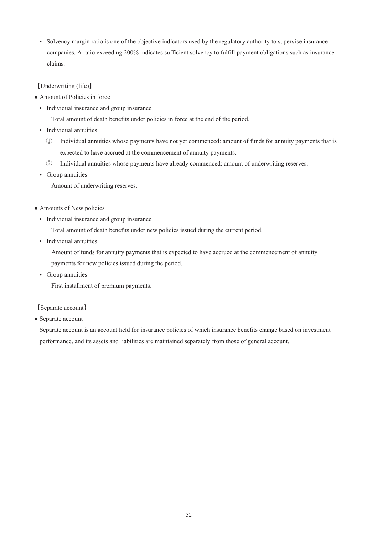• Solvency margin ratio is one of the objective indicators used by the regulatory authority to supervise insurance companies. A ratio exceeding 200% indicates sufficient solvency to fulfill payment obligations such as insurance claims.

### 【Underwriting (life)】

- Amount of Policies in force
	- Individual insurance and group insurance

Total amount of death benefits under policies in force at the end of the period.

- Individual annuities
	- ① Individual annuities whose payments have not yet commenced: amount of funds for annuity payments that is expected to have accrued at the commencement of annuity payments.
	- ② Individual annuities whose payments have already commenced: amount of underwriting reserves.
- Group annuities

Amount of underwriting reserves.

- Amounts of New policies
	- Individual insurance and group insurance

Total amount of death benefits under new policies issued during the current period.

• Individual annuities

Amount of funds for annuity payments that is expected to have accrued at the commencement of annuity payments for new policies issued during the period.

• Group annuities

First installment of premium payments.

### 【Separate account】

• Separate account

Separate account is an account held for insurance policies of which insurance benefits change based on investment performance, and its assets and liabilities are maintained separately from those of general account.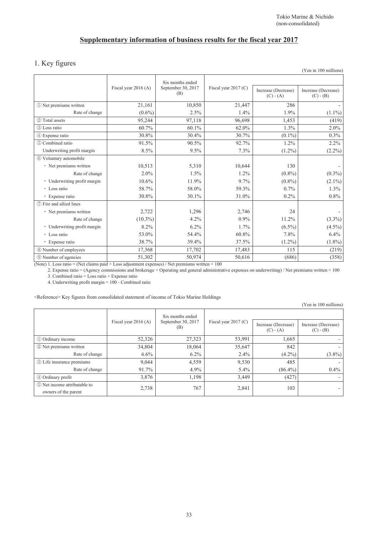# **Supplementary information of business results for the fiscal year 2017**

### 1. Key figures

|                              |                      |                                               |                        |                                    | (Yen in 100 millions)              |
|------------------------------|----------------------|-----------------------------------------------|------------------------|------------------------------------|------------------------------------|
|                              | Fiscal year 2016 (A) | Six months ended<br>September 30, 2017<br>(B) | Fiscal year $2017$ (C) | Increase (Decrease)<br>$(C) - (A)$ | Increase (Decrease)<br>$(C) - (B)$ |
| 10 Net premiums written      | 21,161               | 10,850                                        | 21,447                 | 286                                |                                    |
| Rate of change               | $(0.6\%)$            | 2.5%                                          | 1.4%                   | 1.9%                               | $(1.1\%)$                          |
| 2 Total assets               | 95,244               | 97,118                                        | 96,698                 | 1,453                              | (419)                              |
| 3 Loss ratio                 | 60.7%                | 60.1%                                         | 62.0%                  | 1.3%                               | 2.0%                               |
| 4 Expense ratio              | 30.8%                | 30.4%                                         | 30.7%                  | $(0.1\%)$                          | 0.3%                               |
| 5 Combined ratio             | 91.5%                | 90.5%                                         | 92.7%                  | 1.2%                               | 2.2%                               |
| Underwriting profit margin   | 8.5%                 | 9.5%                                          | 7.3%                   | $(1.2\%)$                          | $(2.2\%)$                          |
| 6 Voluntary automobile       |                      |                                               |                        |                                    |                                    |
| • Net premiums written       | 10,513               | 5,310                                         | 10,644                 | 130                                |                                    |
| Rate of change               | $2.0\%$              | 1.5%                                          | 1.2%                   | $(0.8\%)$                          | $(0.3\%)$                          |
| • Underwriting profit margin | 10.6%                | 11.9%                                         | 9.7%                   | $(0.8\%)$                          | $(2.1\%)$                          |
| • Loss ratio                 | 58.7%                | 58.0%                                         | 59.3%                  | 0.7%                               | 1.3%                               |
| • Expense ratio              | 30.8%                | 30.1%                                         | 31.0%                  | 0.2%                               | 0.8%                               |
| (7) Fire and allied lines    |                      |                                               |                        |                                    |                                    |
| · Net premiums written       | 2,722                | 1,296                                         | 2,746                  | 24                                 |                                    |
| Rate of change               | $(10.3\%)$           | 4.2%                                          | $0.9\%$                | 11.2%                              | $(3.3\%)$                          |
| · Underwriting profit margin | 8.2%                 | 6.2%                                          | 1.7%                   | $(6.5\%)$                          | $(4.5\%)$                          |
| • Loss ratio                 | 53.0%                | 54.4%                                         | 60.8%                  | 7.8%                               | 6.4%                               |
| • Expense ratio              | 38.7%                | 39.4%                                         | 37.5%                  | $(1.2\%)$                          | $(1.8\%)$                          |
| 8 Number of employees        | 17,368               | 17,702                                        | 17,483                 | 115                                | (219)                              |
| <b>9 Number of agencies</b>  | 51,302               | 50,974                                        | 50,616                 | (686)                              | (358)                              |

(Note) 1. Loss ratio = (Net claims paid + Loss adjustment expenses) / Net premiums written  $\times$  100

2. Expense ratio = (Agency commissions and brokerage + Operating and general administrative expenses on underwriting) / Net premiums written × 100

3. Combined ratio = Loss ratio + Expense ratio

4. Underwriting profit margin = 100 - Combined ratio

<Reference> Key figures from consolidated statement of income of Tokio Marine Holdings

(Yen in 100 millions)

|                                                      |                                                    | Six months ended |                        |                                    |                                    |
|------------------------------------------------------|----------------------------------------------------|------------------|------------------------|------------------------------------|------------------------------------|
|                                                      | September 30, 2017<br>Fiscal year $2016(A)$<br>(B) |                  | Fiscal year $2017$ (C) | Increase (Decrease)<br>$(C) - (A)$ | Increase (Decrease)<br>$(C) - (B)$ |
| 1 Ordinary income                                    | 52,326                                             | 27,323           | 53,991                 | 1,665                              |                                    |
| 2 Net premiums written                               | 34,804                                             | 18,064           | 35,647                 | 842                                |                                    |
| Rate of change                                       | 6.6%                                               | $6.2\%$          | $2.4\%$                | $(4.2\%)$                          | $(3.8\%)$                          |
| <b>3</b> Life insurance premiums                     | 9,044                                              | 4,559            | 9,530                  | 485                                |                                    |
| Rate of change                                       | 91.7%                                              | $4.9\%$          | $5.4\%$                | $(86.4\%)$                         | $0.4\%$                            |
| 4 Ordinary profit                                    | 3,876                                              | 1,198            | 3,449                  | (427)                              |                                    |
| 5 Net income attributable to<br>owners of the parent | 2,738                                              | 767              | 2,841                  | 103                                |                                    |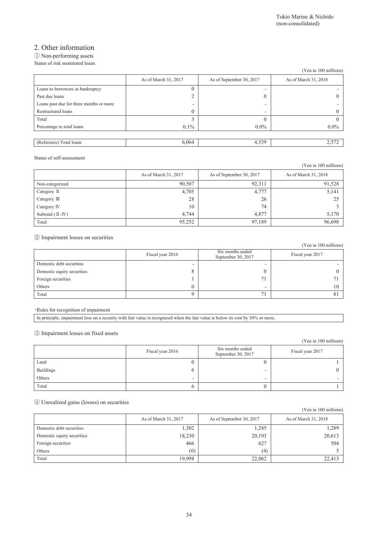## 2. Other information

#### ① Non-performing assets Status of risk monitored loans

|                                         |                      |                          | (Yen in 100 millions) |
|-----------------------------------------|----------------------|--------------------------|-----------------------|
|                                         | As of March 31, 2017 | As of September 30, 2017 | As of March 31, 2018  |
| Loans to borrowers in bankruptcy        |                      | -                        |                       |
| Past due loans                          |                      | $\Omega$                 |                       |
| Loans past due for three months or more | -                    | -                        |                       |
| Restructured loans                      | 0                    | ۰                        |                       |
| Total                                   |                      | $\theta$                 |                       |
| Percentage to total loans               | $0.1\%$              | $0.0\%$                  | $0.0\%$               |
|                                         |                      |                          |                       |
| (Reference) Total loans                 | 6,064                | 4,539                    | 2,572                 |

#### Status of self-assessment

|                      |                      |                          | (Yen in 100 millions) |
|----------------------|----------------------|--------------------------|-----------------------|
|                      | As of March 31, 2017 | As of September 30, 2017 | As of March 31, 2018  |
| Non-categorized      | 90.507               | 92.311                   | 91,528                |
| Category $\Pi$       | 4,705                | 4,777                    | 5,141                 |
| Category III         | 28                   | 26                       | 25                    |
| Category IV          | 10                   | 74                       |                       |
| Subtotal $(II - IV)$ | 4.744                | 4.877                    | 5,170                 |
| Total                | 95,252               | 97,189                   | 96,698                |

### ② Impairment losses on securities

|                            |                  |                                        | (Yen in 100 millions) |
|----------------------------|------------------|----------------------------------------|-----------------------|
|                            | Fiscal year 2016 | Six months ended<br>September 30, 2017 | Fiscal year 2017      |
| Domestic debt securities   |                  |                                        |                       |
| Domestic equity securities |                  |                                        |                       |
| Foreign securities         |                  | 71                                     |                       |
| Others                     |                  | -                                      | ı ()                  |
| Total                      |                  | 71                                     |                       |

#### ・Rules for recognition of impairment

|  | In principle, impairment loss on a security with fair value is recognized when the fair value is below its cost by 30% or more. |
|--|---------------------------------------------------------------------------------------------------------------------------------|
|  |                                                                                                                                 |

### ③ Impairment losses on fixed assets

|                     |                  |                                        | (Yen in 100 millions) |
|---------------------|------------------|----------------------------------------|-----------------------|
|                     | Fiscal year 2016 | Six months ended<br>September 30, 2017 | Fiscal year 2017      |
| Land                |                  |                                        |                       |
| Buildings<br>Others |                  | -                                      |                       |
|                     | -                | -                                      |                       |
| Total               |                  |                                        |                       |

### ④ Unrealized gains (losses) on securities

|                            |                      |                          | (Yen in 100 millions) |
|----------------------------|----------------------|--------------------------|-----------------------|
|                            | As of March 31, 2017 | As of September 30, 2017 | As of March 31, 2018  |
| Domestic debt securities   | 1,302                | 1,245                    | 1,289                 |
| Domestic equity securities | 18,230               | 20,193                   | 20,613                |
| Foreign securities         | 466                  | 627                      | 504                   |
| Others                     | (0)                  | (4)                      |                       |
| Total                      | 19,998               | 22,062                   | 22,413                |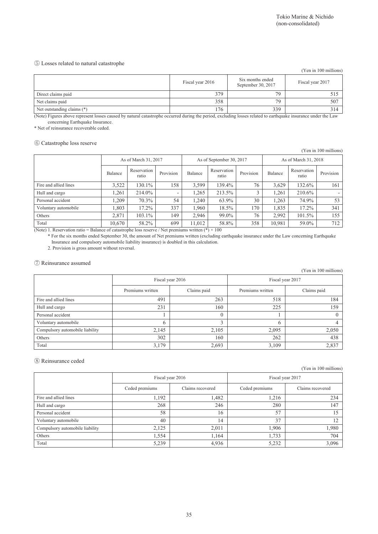#### ⑤ Losses related to natural catastrophe

|                            |                                                            |     | (Yen in 100 millions) |
|----------------------------|------------------------------------------------------------|-----|-----------------------|
|                            | Six months ended<br>Fiscal year 2016<br>September 30, 2017 |     | Fiscal year 2017      |
| Direct claims paid         | 379                                                        | 79  | 515                   |
| Net claims paid            | 358                                                        | 79  | 507                   |
| Net outstanding claims (*) | 176                                                        | 339 | 314                   |

(Note) Figures above represent losses caused by natural catastrophe occurred during the period, excluding losses related to earthquake insurance under the Law concerning Earthquake Insurance.

\* Net of reinsurance recoverable ceded.

### ⑥ Catastrophe loss reserve

(Yen in 100 millions)

|                       | As of March 31, 2017    |                      | As of September 30, 2017 |         |                      | As of March 31, 2018 |         |                      |           |
|-----------------------|-------------------------|----------------------|--------------------------|---------|----------------------|----------------------|---------|----------------------|-----------|
|                       | Balance                 | Reservation<br>ratio | Provision                | Balance | Reservation<br>ratio | Provision            | Balance | Reservation<br>ratio | Provision |
| Fire and allied lines | 3.522                   | 130.1%               | 158                      | 3,599   | 139.4%               | 76                   | 3,629   | 132.6%               | 161       |
| Hull and cargo        | .261                    | 214.0%               | ۰                        | .265    | 213.5%               | 3                    | 1.261   | 210.6%               |           |
| Personal accident     | .209                    | 70.3%                | 54                       | 1.240   | 63.9%                | 30                   | 1.263   | 74.9%                | 53        |
| Voluntary automobile  | 1.803                   | 17.2%                | 337                      | 1.960   | 18.5%                | 170                  | 1.835   | 17.2%                | 341       |
| Others                | 2.871                   | 103.1%               | 149                      | 2.946   | 99.0%                | 76                   | 2.992   | 101.5%               | 155       |
| Total<br>.<br>- -     | 10,670<br>$\sim$ $\sim$ | 58.2%                | 699<br>$1 - 1$           | 11.012  | 58.8%<br>$\sim$ 0.00 | 358                  | 10,981  | 59.0%                | 712       |

(Note) 1. Reservation ratio = Balance of catastrophe loss reserve / Net premiums written (\*)  $\times$  100

\* For the six months ended September 30, the amount of Net premiums written (excluding earthquake insurance under the Law concerning Earthquake Insurance and compulsory automobile liability insurance) is doubled in this calculation.

2. Provision is gross amount without reversal.

#### ⑦ Reinsurance assumed

(Yen in 100 millions)

|                                 | Fiscal year 2016                |       | Fiscal year 2017 |             |  |
|---------------------------------|---------------------------------|-------|------------------|-------------|--|
|                                 | Claims paid<br>Premiums written |       | Premiums written | Claims paid |  |
| Fire and allied lines           | 491                             | 263   | 518              | 184         |  |
| Hull and cargo                  | 231                             | 160   | 225              | 159         |  |
| Personal accident               |                                 |       |                  |             |  |
| Voluntary automobile            | <sub>(</sub>                    |       | 6                | 4           |  |
| Compulsory automobile liability | 2,145                           | 2,105 | 2,095            | 2,050       |  |
| Others                          | 302                             | 160   | 262              | 438         |  |
| Total                           | 3,179                           | 2,693 | 3,109            | 2,837       |  |

#### ⑧ Reinsurance ceded

(Yen in 100 millions)

|                                 | Fiscal year 2016 |                  | Fiscal year 2017 |                  |  |
|---------------------------------|------------------|------------------|------------------|------------------|--|
|                                 | Ceded premiums   | Claims recovered | Ceded premiums   | Claims recovered |  |
| Fire and allied lines           | 1,192            | 1,482            | 1,216            | 234              |  |
| Hull and cargo                  | 268              | 246              | 280              | 147              |  |
| Personal accident               | 58               | 16               | 57               | .5               |  |
| Voluntary automobile            | 40               | 14               | 37               | $\overline{2}$   |  |
| Compulsory automobile liability | 2,125            | 2.011            | 1.906            | 1,980            |  |
| Others                          | 1,554            | 1,164            | 1,733            | 704              |  |
| Total                           | 5,239            | 4,936            | 5,232            | 3,096            |  |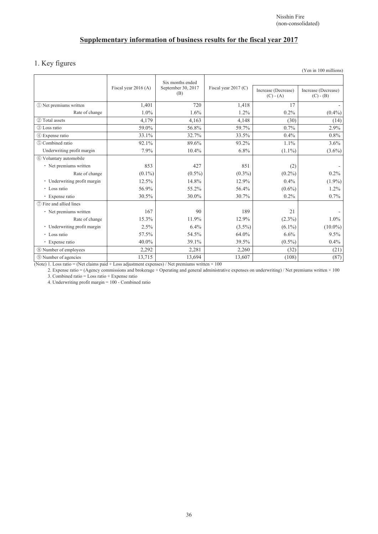## **Supplementary information of business results for the fiscal year 2017**

### 1. Key figures

|                              |                      |                                               |                      |                                    | $(1 \text{ cm m} 100 \text{ mm})$  |
|------------------------------|----------------------|-----------------------------------------------|----------------------|------------------------------------|------------------------------------|
|                              | Fiscal year 2016 (A) | Six months ended<br>September 30, 2017<br>(B) | Fiscal year 2017 (C) | Increase (Decrease)<br>$(C) - (A)$ | Increase (Decrease)<br>$(C) - (B)$ |
| 1 Net premiums written       | 1,401                | 720                                           | 1,418                | 17                                 |                                    |
| Rate of change               | $1.0\%$              | 1.6%                                          | $1.2\%$              | $0.2\%$                            | $(0.4\%)$                          |
| 2 Total assets               | 4,179                | 4,163                                         | 4,148                | (30)                               | (14)                               |
| (3) Loss ratio               | 59.0%                | 56.8%                                         | 59.7%                | 0.7%                               | 2.9%                               |
| 4 Expense ratio              | 33.1%                | 32.7%                                         | 33.5%                | 0.4%                               | 0.8%                               |
| (5) Combined ratio           | 92.1%                | 89.6%                                         | 93.2%                | 1.1%                               | 3.6%                               |
| Underwriting profit margin   | 7.9%                 | 10.4%                                         | 6.8%                 | $(1.1\%)$                          | $(3.6\%)$                          |
| 6 Voluntary automobile       |                      |                                               |                      |                                    |                                    |
| • Net premiums written       | 853                  | 427                                           | 851                  | (2)                                |                                    |
| Rate of change               | $(0.1\%)$            | $(0.5\%)$                                     | $(0.3\%)$            | $(0.2\%)$                          | $0.2\%$                            |
| • Underwriting profit margin | 12.5%                | 14.8%                                         | 12.9%                | $0.4\%$                            | $(1.9\%)$                          |
| • Loss ratio                 | 56.9%                | 55.2%                                         | 56.4%                | $(0.6\%)$                          | $1.2\%$                            |
| • Expense ratio              | 30.5%                | 30.0%                                         | 30.7%                | $0.2\%$                            | 0.7%                               |
| (7) Fire and allied lines    |                      |                                               |                      |                                    |                                    |
| • Net premiums written       | 167                  | 90                                            | 189                  | 21                                 |                                    |
| Rate of change               | 15.3%                | 11.9%                                         | 12.9%                | $(2.3\%)$                          | $1.0\%$                            |
| · Underwriting profit margin | 2.5%                 | 6.4%                                          | $(3.5\%)$            | $(6.1\%)$                          | $(10.0\%)$                         |
| • Loss ratio                 | 57.5%                | 54.5%                                         | 64.0%                | 6.6%                               | 9.5%                               |
| • Expense ratio              | 40.0%                | 39.1%                                         | 39.5%                | $(0.5\%)$                          | $0.4\%$                            |
| 8 Number of employees        | 2,292                | 2,281                                         | 2,260                | (32)                               | (21)                               |
| <b>9 Number of agencies</b>  | 13,715               | 13,694                                        | 13,607               | (108)                              | (87)                               |

(Note) 1. Loss ratio = (Net claims paid + Loss adjustment expenses) / Net premiums written  $\times$  100

2. Expense ratio = (Agency commissions and brokerage + Operating and general administrative expenses on underwriting) / Net premiums written × 100

3. Combined ratio = Loss ratio + Expense ratio

4. Underwriting profit margin = 100 - Combined ratio

(Yen in 100 millions)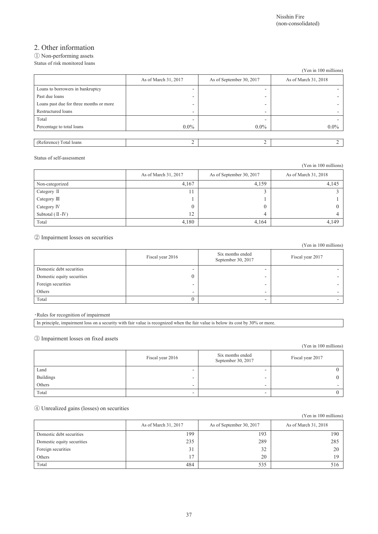## 2. Other information

#### ① Non-performing assets Status of risk monitored loans

|                                         |                      |                          | (Yen in 100 millions) |
|-----------------------------------------|----------------------|--------------------------|-----------------------|
|                                         | As of March 31, 2017 | As of September 30, 2017 | As of March 31, 2018  |
| Loans to borrowers in bankruptcy        | -                    | -                        |                       |
| Past due loans                          | -                    | -                        |                       |
| Loans past due for three months or more | -                    | -                        |                       |
| Restructured loans                      | ۰                    | ۰                        |                       |
| Total                                   | -                    | -                        |                       |
| Percentage to total loans               | $0.0\%$              | $0.0\%$                  | $0.0\%$               |
|                                         |                      |                          |                       |
| (Reference) Total loans                 |                      |                          |                       |

#### Status of self-assessment

|                       |                      |                          | (Yen in 100 millions) |
|-----------------------|----------------------|--------------------------|-----------------------|
|                       | As of March 31, 2017 | As of September 30, 2017 | As of March 31, 2018  |
| Non-categorized       | 4,167                | 4,159                    | 4,145                 |
| Category II           | 11                   |                          |                       |
| Category III          |                      |                          |                       |
| Category IV           | $\theta$             |                          |                       |
| Subtotal $(\Pi - IV)$ | 12                   | 4                        |                       |
| Total                 | 4,180                | 4,164                    | 4,149                 |

#### ② Impairment losses on securities

|                            |                  |                                        | (Yen in 100 millions) |
|----------------------------|------------------|----------------------------------------|-----------------------|
|                            | Fiscal year 2016 | Six months ended<br>September 30, 2017 | Fiscal year 2017      |
| Domestic debt securities   | -                | -                                      |                       |
| Domestic equity securities |                  | -                                      |                       |
| Foreign securities         | -                | -                                      |                       |
| Others                     | -                | -                                      |                       |
| Total                      |                  |                                        |                       |

・Rules for recognition of impairment

In principle, impairment loss on a security with fair value is recognized when the fair value is below its cost by 30% or more.

#### ③ Impairment losses on fixed assets

| .<br>.           |                  |                                        | (Yen in 100 millions) |
|------------------|------------------|----------------------------------------|-----------------------|
|                  | Fiscal year 2016 | Six months ended<br>September 30, 2017 | Fiscal year 2017      |
| Land             | -                |                                        |                       |
| <b>Buildings</b> | ۰                | -                                      |                       |
| Others           | -                | -                                      |                       |
| Total            | -                |                                        |                       |

### ④ Unrealized gains (losses) on securities

|                            |                      |                          | (Yen in 100 millions) |
|----------------------------|----------------------|--------------------------|-----------------------|
|                            | As of March 31, 2017 | As of September 30, 2017 | As of March 31, 2018  |
| Domestic debt securities   | 199                  | 193                      | 190                   |
| Domestic equity securities | 235                  | 289                      | 285                   |
| Foreign securities         | 31                   | 32                       | 20                    |
| Others                     | 17                   | 20                       | 19                    |
| Total                      | 484                  | 535                      | 516                   |